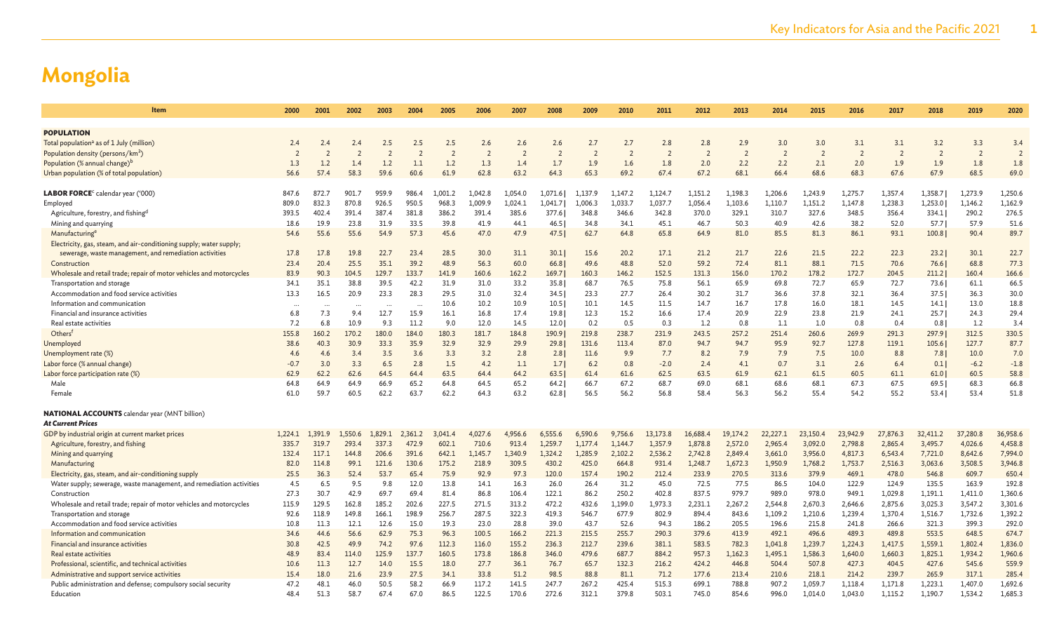| ltem                                                                                                                          | 2000           | 2001           | 2002           | 2003                 | 2004           | 2005           | 2006             | 2007             | 2008             | 2009             | 2010             | 2011             | 2012             | 2013             | 2014               | 2015               | 2016               | 2017             | 2018               | 2019               | 2020             |
|-------------------------------------------------------------------------------------------------------------------------------|----------------|----------------|----------------|----------------------|----------------|----------------|------------------|------------------|------------------|------------------|------------------|------------------|------------------|------------------|--------------------|--------------------|--------------------|------------------|--------------------|--------------------|------------------|
|                                                                                                                               |                |                |                |                      |                |                |                  |                  |                  |                  |                  |                  |                  |                  |                    |                    |                    |                  |                    |                    |                  |
| <b>POPULATION</b>                                                                                                             |                |                |                |                      |                |                |                  |                  |                  |                  |                  |                  |                  |                  |                    |                    |                    |                  |                    |                    |                  |
| Total population <sup>a</sup> as of 1 July (million)                                                                          | 2.4            | 2.4            | 2.4            | 2.5                  | 2.5            | 2.5            | 2.6              | 2.6              | 2.6              | 2.7              | 2.7              | 2.8              | 2.8              | 2.9              | 3.0                | 3.0                | 3.1                | 3.1              | 3.2                | 3.3                | 3.4              |
| Population density (persons/km <sup>2</sup> )                                                                                 |                |                |                |                      | $\overline{2}$ | $\overline{2}$ |                  | $\overline{2}$   |                  |                  | $\overline{2}$   | $\overline{2}$   | $\overline{2}$   | $\overline{2}$   | $\overline{2}$     | $\overline{2}$     | $\overline{2}$     | $\overline{2}$   | $\overline{2}$     | 2                  | $\overline{z}$   |
| Population (% annual change) <sup>t</sup>                                                                                     | 1.3            | 1.2            | 1.4            | 1.2                  | 1.1            | 1.2            | 1.3              | 1.4              | 1.7              | 1.9              | 1.6              | 1.8              | 2.0              | 2.2              | 2.2                | 2.1                | 2.0                | 1.9              | 1.9                | 1.8                | 1.8              |
| Urban population (% of total population)                                                                                      | 56.6           | 57.4           | 58.3           | 59.6                 | 60.6           | 61.9           | 62.8             | 63.2             | 64.3             | 65.3             | 69.2             | 67.4             | 67.2             | 68.1             | 66.4               | 68.6               | 68.3               | 67.6             | 67.9               | 68.5               | 69.0             |
|                                                                                                                               |                |                |                |                      |                |                |                  |                  |                  |                  |                  |                  |                  |                  |                    |                    |                    |                  |                    |                    |                  |
| LABOR FORCE <sup>c</sup> calendar year ('000)                                                                                 | 847.6          | 872.7          | 901.7<br>870.8 | 959.9                | 986.4          | 1,001.2        | 1.042.8          | 1.054.0          | 1,071.6          | 1,137.9          | 1,147.2          | 1.124.7          | 1,151.2          | 1,198.3          | 1,206.6            | 1,243.9            | 1,275.7            | 1,357.4          | 1,358.7            | 1,273.9            | 1,250.6          |
| Employed<br>Agriculture, forestry, and fishingd                                                                               | 809.0<br>393.5 | 832.3<br>402.4 | 391.4          | 926.5<br>387.4       | 950.5<br>381.8 | 968.3<br>386.2 | 1,009.9<br>391.4 | 1,024.1<br>385.6 | 1,041.7<br>377.6 | 1,006.3<br>348.8 | 1,033.7<br>346.6 | 1,037.7<br>342.8 | 1,056.4<br>370.0 | 1,103.6<br>329.1 | 1,110.7<br>310.7   | 1,151.2<br>327.6   | 1,147.8<br>348.5   | 1,238.3<br>356.4 | 1,253.0<br>334.1   | 1,146.2<br>290.2   | 1,162.9<br>276.5 |
| Mining and quarrying                                                                                                          | 18.6           | 19.9           | 23.8           | 31.9                 | 33.5           | 39.8           | 41.9             | 44.1             | 46.5             | 34.8             | 34.1             | 45.1             | 46.7             | 50.3             | 40.9               | 42.6               | 38.2               | 52.0             | 57.7               | 57.9               | 51.6             |
| Manufacturing <sup>e</sup>                                                                                                    | 54.6           | 55.6           | 55.6           | 54.9                 | 57.3           | 45.6           | 47.0             | 47.9             | 47.5             | 62.7             | 64.8             | 65.8             | 64.9             | 81.0             | 85.5               | 81.3               | 86.1               | 93.1             | 100.8              | 90.4               | 89.7             |
|                                                                                                                               |                |                |                |                      |                |                |                  |                  |                  |                  |                  |                  |                  |                  |                    |                    |                    |                  |                    |                    |                  |
| Electricity, gas, steam, and air-conditioning supply; water supply;<br>sewerage, waste management, and remediation activities | 17.8           | 17.8           | 19.8           | 22.7                 | 23.4           | 28.5           | 30.0             | 31.1             | 30.1             | 15.6             | 20.2             | 17.1             | 21.2             | 21.7             | 22.6               | 21.5               | 22.2               | 22.3             | 23.2               | 30.1               | 22.7             |
| Construction                                                                                                                  | 23.4           | 20.4           | 25.5           | 35.1                 | 39.2           | 48.9           | 56.3             | 60.0             | 66.8             | 49.6             | 48.8             | 52.0             | 59.2             | 72.4             | 81.1               | 88.1               | 71.5               | 70.6             | 76.6               | 68.8               | 77.3             |
| Wholesale and retail trade; repair of motor vehicles and motorcycles                                                          | 83.9           | 90.3           | 104.5          | 129.7                | 133.7          | 141.9          | 160.6            | 162.2            | 169.7            | 160.3            | 146.2            | 152.5            | 131.3            | 156.0            | 170.2              | 178.2              | 172.7              | 204.5            | 211.2              | 160.4              | 166.6            |
| Transportation and storage                                                                                                    | 34.1           | 35.1           | 38.8           | 39.5                 | 42.2           | 31.9           | 31.0             | 33.2             | 35.8             | 68.7             | 76.5             | 75.8             | 56.1             | 65.9             | 69.8               | 72.7               | 65.9               | 72.7             | 73.6               | 61.1               | 66.5             |
| Accommodation and food service activities                                                                                     | 13.3           | 16.5           | 20.9           | 23.3                 | 28.3           | 29.5           | 31.0             | 32.4             | 34.5             | 23.3             | 27.7             | 26.4             | 30.2             | 31.7             | 36.6               | 37.8               | 32.1               | 36.4             | 37.5               | 36.3               | 30.0             |
| Information and communication                                                                                                 |                |                | $\cdots$       | $\ddot{\phantom{a}}$ | $\cdots$       | 10.6           | 10.2             | 10.9             | 10.5             | 10.1             | 14.5             | 11.5             | 14.7             | 16.7             | 17.8               | 16.0               | 18.1               | 14.5             | 14.1               | 13.0               | 18.8             |
| Financial and insurance activities                                                                                            | 6.8            | 7.3            | 9.4            | 12.7                 | 15.9           | 16.1           | 16.8             | 17.4             | 19.8             | 12.3             | 15.2             | 16.6             | 17.4             | 20.9             | 22.9               | 23.8               | 21.9               | 24.1             | 25.7               | 24.3               | 29.4             |
| Real estate activities                                                                                                        | 7.2            | 6.8            | 10.9           | 9.3                  | 11.2           | 9.0            | 12.0             | 14.5             | 12.0             | 0.2              | 0.5              | 0.3              | 1.2              | 0.8              | 1.1                | 1.0                | 0.8                | 0.4              | 0.8                | 1.2                | 3.4              |
| Others <sup>f</sup>                                                                                                           | 155.8          | 160.2          | 170.2          | 180.0                | 184.0          | 180.3          | 181.7            | 184.8            | 190.9            | 219.8            | 238.7            | 231.9            | 243.5            | 257.2            | 251.4              | 260.6              | 269.9              | 291.3            | 297.9              | 312.5              | 330.5            |
| Unemployed                                                                                                                    | 38.6           | 40.3           | 30.9           | 33.3                 | 35.9           | 32.9           | 32.9             | 29.9             | 29.8             | 131.6            | 113.4            | 87.0             | 94.7             | 94.7             | 95.9               | 92.7               | 127.8              | 119.1            | 105.6              | 127.7              | 87.7             |
| Unemployment rate (%)                                                                                                         | 4.6            | 4.6            | 3.4            | 3.5                  | 3.6            | 3.3            | 3.2              | 2.8              | 2.8              | 11.6             | 9.9              | 7.7              | 8.2              | 7.9              | 7.9                | 7.5                | 10.0               | 8.8              | 7.8                | 10.0               | 7.0              |
| Labor force (% annual change)                                                                                                 | $-0.7$         | 3.0            | 3.3            | 6.5                  | 2.8            | 1.5            | 4.2              | 1.1              | 1.7              | 6.2              | 0.8              | $-2.0$           | 2.4              | 4.1              | 0.7                | 3.1                | 2.6                | 6.4              | 0.1                | $-6.2$             | $-1.8$           |
| Labor force participation rate (%)                                                                                            | 62.9           | 62.2           | 62.6           | 64.5                 | 64.4           | 63.5           | 64.4             | 64.2             | 63.5             | 61.4             | 61.6             | 62.5             | 63.5             | 61.9             | 62.1               | 61.5               | 60.5               | 61.1             | 61.0               | 60.5               | 58.8             |
| Male                                                                                                                          | 64.8           | 64.9           | 64.9           | 66.9                 | 65.2           | 64.8           | 64.5             | 65.2             | 64.2             | 66.7             | 67.2             | 68.7             | 69.0             | 68.1             | 68.6               | 68.1               | 67.3               | 67.5             | 69.5               | 68.3               | 66.8             |
| Female                                                                                                                        | 61.0           | 59.7           | 60.5           | 62.2                 | 63.7           | 62.2           | 64.3             | 63.2             | 62.8             | 56.5             | 56.2             | 56.8             | 58.4             | 56.3             | 56.2               | 55.4               | 54.2               | 55.2             | 53.4               | 53.4               | 51.8             |
|                                                                                                                               |                |                |                |                      |                |                |                  |                  |                  |                  |                  |                  |                  |                  |                    |                    |                    |                  |                    |                    |                  |
| <b>NATIONAL ACCOUNTS</b> calendar year (MNT billion)                                                                          |                |                |                |                      |                |                |                  |                  |                  |                  |                  |                  |                  |                  |                    |                    |                    |                  |                    |                    |                  |
| At Current Prices                                                                                                             |                |                |                |                      |                |                |                  |                  |                  |                  |                  |                  |                  |                  |                    |                    |                    |                  |                    |                    |                  |
| GDP by industrial origin at current market prices                                                                             | 1,224.1        | 1.391.9        | L.550.6        | 1.829.1              | 2,361.2        | 3,041.4        | 4,027.6          | 4,956.6          | 6,555.6          | 6.590.6          | 9,756.6          | 13,173.8         | 16,688.4         | 19,174.2         | 22,227.1           | 23,150.4           | 23,942.9           | 27,876.3         | 32,411.2           | 37,280.8           | 36,958.6         |
| Agriculture, forestry, and fishing                                                                                            | 335.7          | 319.7          | 293.4          | 337.3                | 472.9          | 602.1          | 710.6            | 913.4            | 1,259.7          | 1,177.4          | 1.144.7          | 1,357.9          | 1,878.8          | 2,572.0          | 2,965.4            | 3,092.0            | 2,798.8            | 2,865.4          | 3,495.7            | 4,026.6            | 4,458.8          |
| Mining and quarrying                                                                                                          | 132.4          | 117.1          | 144.8          | 206.6                | 391.6          | 642.1          | 1,145.7          | 1.340.9          | 1,324.2          | 1,285.9          | 2,102.2          | 2,536.2          | 2,742.8          | 2,849.4          | 3,661.0            | 3,956.0            | 4,817.3            | 6,543.4          | 7,721.0            | 8,642.6            | 7,994.0          |
| Manufacturing                                                                                                                 | 82.0           | 114.8          | 99.1           | 121.6                | 130.6          | 175.2          | 218.9            | 309.5            | 430.2            | 425.0            | 664.8            | 931.4            | 1,248.7          | 1,672.3          | 1,950.9            | 1,768.2            | 1,753.7            | 2,516.3          | 3,063.6            | 3,508.5            | 3,946.8          |
| Electricity, gas, steam, and air-conditioning supply                                                                          | 25.5           | 36.3           | 52.4           | 53.7                 | 65.4           | 75.9           | 92.9             | 97.3             | 120.0            | 157.4            | 190.2            | 212.4            | 233.9            | 270.5            | 313.6              | 379.9              | 469.1              | 478.0            | 546.8              | 609.7              | 650.4            |
| Water supply; sewerage, waste management, and remediation activities                                                          | 4.5            | 6.5            | 9.5            | 9.8                  | 12.0           | 13.8           | 14.1             | 16.3             | 26.0             | 26.4             | 31.2             | 45.0             | 72.5             | 77.5             | 86.5               | 104.0              | 122.9              | 124.9            | 135.5              | 163.9              | 192.8            |
| Construction                                                                                                                  | 27.3           | 30.7<br>129.5  | 42.9<br>162.8  | 69.7<br>185.2        | 69.4           | 81.4<br>227.5  | 86.8<br>271.5    | 106.4            | 122.1<br>472.2   | 86.2<br>432.6    | 250.2            | 402.8            | 837.5            | 979.7            | 989.0              | 978.0              | 949.1              | 1,029.8          | 1,191.1<br>3,025.3 | 1,411.0            | 1,360.6          |
| Wholesale and retail trade; repair of motor vehicles and motorcycles<br>Transportation and storage                            | 115.9<br>92.6  | 118.9          | 149.8          | 166.1                | 202.6<br>198.9 | 256.7          | 287.5            | 313.2<br>322.3   | 419.3            | 546.7            | 1,199.0<br>677.9 | 1,973.3<br>802.9 | 2,231.1<br>894.4 | 2,267.2<br>843.6 | 2,544.8<br>1,109.2 | 2,670.3<br>1,210.6 | 2,646.6<br>1,239.4 | 2,875.6          | 1,516.7            | 3,547.2<br>1,732.6 | 3,301.6          |
| Accommodation and food service activities                                                                                     | 10.8           | 11.3           | 12.1           | 12.6                 | 15.0           | 19.3           | 23.0             | 28.8             | 39.0             | 43.7             | 52.6             | 94.3             | 186.2            | 205.5            | 196.6              | 215.8              | 241.8              | 1,370.4<br>266.6 | 321.3              | 399.3              | 1,392.2<br>292.0 |
| Information and communication                                                                                                 | 34.6           | 44.6           | 56.6           | 62.9                 | 75.3           | 96.3           | 100.5            | 166.2            | 221.3            | 215.5            | 255.7            | 290.3            | 379.6            | 413.9            | 492.1              | 496.6              | 489.3              | 489.8            | 553.5              | 648.5              | 674.7            |
| Financial and insurance activities                                                                                            | 30.8           | 42.5           | 49.9           | 74.2                 | 97.6           | 112.3          | 116.0            | 155.2            | 236.3            | 212.7            | 239.6            | 381.1            | 583.5            | 782.3            | 1,041.8            | 1,239.7            | 1,224.3            | 1,417.5          | 1,559.1            | 1,802.4            | 1,836.0          |
| Real estate activities                                                                                                        | 48.9           | 83.4           | 114.0          | 125.9                | 137.7          | 160.5          | 173.8            | 186.8            | 346.0            | 479.6            | 687.7            | 884.2            | 957.3            | 1,162.3          | 1,495.1            | 1,586.3            | 1,640.0            | 1,660.3          | 1,825.1            | 1,934.2            | 1,960.6          |
| Professional, scientific, and technical activities                                                                            | 10.6           | 11.3           | 12.7           | 14.0                 | 15.5           | 18.0           | 27.7             | 36.1             | 76.7             | 65.7             | 132.3            | 216.2            | 424.2            | 446.8            | 504.4              | 507.8              | 427.3              | 404.5            | 427.6              | 545.6              | 559.9            |
| Administrative and support service activities                                                                                 | 15.4           | 18.0           | 21.6           | 23.9                 | 27.5           | 34.1           | 33.8             | 51.2             | 98.5             | 88.8             | 81.1             | 71.2             | 177.6            | 213.4            | 210.6              | 218.1              | 214.2              | 239.7            | 265.9              | 317.1              | 285.4            |
| Public administration and defense; compulsory social security                                                                 | 47.2           | 48.1           | 46.0           | 50.5                 | 58.2           | 66.9           | 117.2            | 141.5            | 247.7            | 267.2            | 425.4            | 515.3            | 699.1            | 788.8            | 907.2              | 1,059.7            | 1,118.4            | 1,171.8          | 1,223.1            | 1,407.0            | 1,692.6          |
| Education                                                                                                                     | 48.4           | 51.3           | 58.7           | 67.4                 | 67.0           | 86.5           | 122.5            | 170.6            | 272.6            | 312.1            | 379.8            | 503.1            | 745.0            | 854.6            | 996.0              | 1,014.0            | 1,043.0            | 1,115.2          | 1,190.7            | 1,534.2            | 1,685.3          |
|                                                                                                                               |                |                |                |                      |                |                |                  |                  |                  |                  |                  |                  |                  |                  |                    |                    |                    |                  |                    |                    |                  |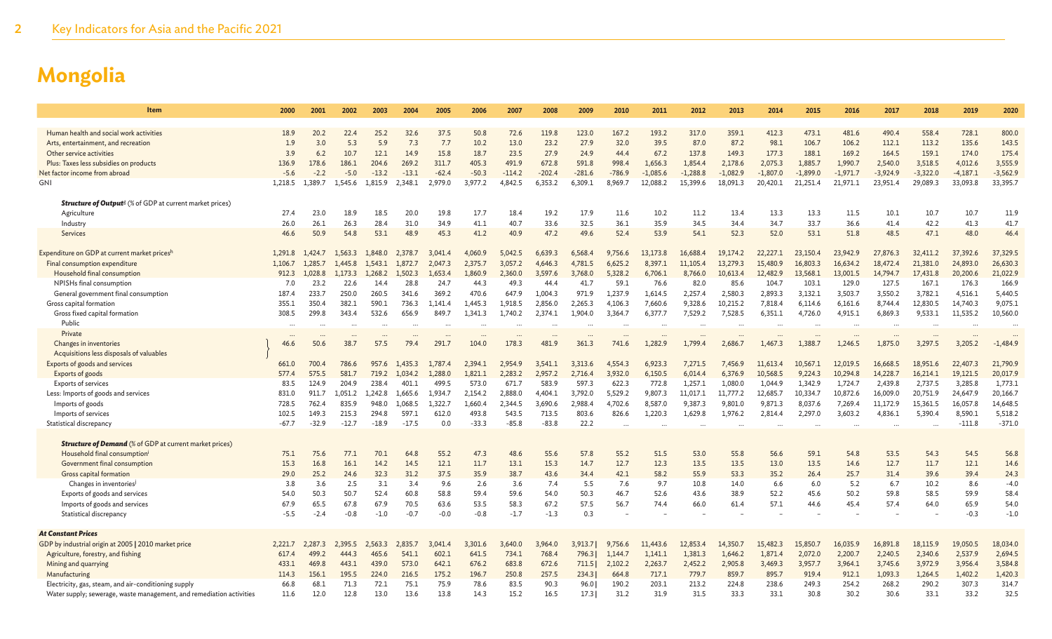| Item                                                                       | 2000        | 2001        | 2002        | 2003        | 2004              | 2005        | 2006        | 2007        | 2008        | 2009        | 2010        | 2011        | 2012                     | 2013         | 2014        | 2015        | 2016        | 2017        | 2018         | 2019        | 2020           |
|----------------------------------------------------------------------------|-------------|-------------|-------------|-------------|-------------------|-------------|-------------|-------------|-------------|-------------|-------------|-------------|--------------------------|--------------|-------------|-------------|-------------|-------------|--------------|-------------|----------------|
|                                                                            |             |             |             |             |                   |             |             |             |             |             |             |             |                          |              |             |             |             |             |              |             |                |
| Human health and social work activities                                    | 18.9        | 20.2        | 22.4        | 25.2        | 32.6              | 37.5        | 50.8        | 72.6        | 119.8       | 123.0       | 167.2       | 193.2       | 317.0                    | 359.1        | 412.3       | 473.1       | 481.6       | 490.4       | 558.4        | 728.1       | 800.0          |
| Arts, entertainment, and recreation                                        | 1.9         | 3.0         | 5.3         | 5.9         | 7.3               | 7.7         | 10.2        | 13.0        | 23.2        | 27.9        | 32.0        | 39.5        | 87.0                     | 87.2         | 98.1        | 106.7       | 106.2       | 112.1       | 113.2        | 135.6       | 143.5          |
| Other service activities                                                   | 3.9         | 6.2         | 10.7        | 12.1        | 14.9              | 15.8        | 18.7        | 23.5        | 27.9        | 24.9        | 44.4        | 67.2        | 137.8                    | 149.3        | 177.3       | 188.1       | 169.2       | 164.5       | 159.1        | 174.0       | 175.4          |
| Plus: Taxes less subsidies on products                                     | 136.9       | 178.6       | 186.1       | 204.6       | 269.2             | 311.7       | 405.3       | 491.9       | 672.8       | 591.8       | 998.4       | 1,656.3     | 1,854.4                  | 2,178.6      | 2,075.3     | 1,885.7     | 1,990.7     | 2,540.0     | 3,518.5      | 4,012.6     | 3,555.9        |
| Net factor income from abroad                                              | $-5.6$      | $-2.2$      | $-5.0$      | $-13.2$     | $-13.1$           | $-62.4$     | $-50.3$     | $-114.2$    | $-202.4$    | $-281.6$    | $-786.9$    | $-1,085.6$  | $-1,288.8$               | $-1,082.9$   | $-1,807.0$  | $-1,899.0$  | $-1,971.7$  | $-3,924.9$  | $-3,322.0$   | $-4,187.1$  | $-3,562.9$     |
| GNI                                                                        | 1,218.5     | 1,389.7     | 1,545.6     | 1,815.9     | 2,348.1           | 2,979.0     | 3,977.2     | 4,842.5     | 6,353.2     | 6,309.1     | 8,969.7     | 12,088.2    | 15,399.6                 | 18,091.3     | 20,420.1    | 21,251.4    | 21,971.1    | 23,951.4    | 29,089.3     | 33,093.8    | 33,395.7       |
| <b>Structure of Output<sup>g</sup></b> (% of GDP at current market prices) |             |             |             |             |                   |             |             |             |             |             |             |             |                          |              |             |             |             |             |              |             |                |
| Agriculture                                                                | 27.4        | 23.0        | 18.9        | 18.5        | 20.0              | 19.8        | 17.7        | 18.4        | 19.2        | 17.9        | 11.6        | 10.2        | 11.2                     | 13.4         | 13.3        | 13.3        | 11.5        | 10.1        | 10.7         | 10.7        | 11.9           |
| Industry                                                                   | 26.0        | 26.1        | 26.3        | 28.4        | 31.0              | 34.9        | 41.1        | 40.7        | 33.6        | 32.5        | 36.1        | 35.9        | 34.5                     | 34.4         | 34.7        | 33.7        | 36.6        | 41.4        | 42.2         | 41.3        | 41.7           |
| Services                                                                   | 46.6        | 50.9        | 54.8        | 53.1        | 48.9              | 45.3        | 41.2        | 40.9        | 47.2        | 49.6        | 52.4        | 53.9        | 54.1                     | 52.3         | 52.0        | 53.1        | 51.8        | 48.5        | 47.1         | 48.0        | 46.4           |
|                                                                            |             |             |             |             |                   |             |             |             |             |             |             |             |                          |              |             |             |             |             |              |             |                |
| Expenditure on GDP at current market pricesh                               | 1,291.8     | 1,424.7     | 1.563.3     | 1,848.0     | 2,378.7           | 3,041.4     | 4.060.9     | 5,042.5     | 6.639.3     | 6,568.4     | 9.756.6     | 13,173.8    | 16,688.4                 | 19,174.2     | 22,227.1    | 23,150.4    | 23,942.9    | 27,876.3    | 32,411.2     | 37,392.6    | 37,329.5       |
| Final consumption expenditure                                              | 1,106.7     | 1,285.7     | 1.445.8     | 1.543.1     | 1,872.7           | 2,047.3     | 2,375.7     | 3,057.2     | 4,646.3     | 4,781.5     | 6,625.2     | 8,397.1     | 11,105.4                 | 13,279.3     | 15,480.9    | 16,803.3    | 16,634.2    | 18,472.4    | 21,381.0     | 24,893.0    | 26,630.3       |
| Household final consumption                                                | 912.3       | 1.028.8     | 1.173.3     | 1.268.2     | 1,502.3           | 1,653.4     | 1,860.9     | 2,360.0     | 3,597.6     | 3,768.0     | 5,328.2     | 6,706.1     | 8,766.0                  | 10,613.4     | 12,482.9    | 13,568.1    | 13,001.5    | 14,794.7    | 17,431.8     | 20,200.6    | 21,022.9       |
| NPISHs final consumption                                                   | 7.0         | 23.2        | 22.6        | 14.4        | 28.8              | 24.7        | 44.3        | 49.3        | 44.4        | 41.7        | 59.1        | 76.6        | 82.0                     | 85.6         | 104.7       | 103.3       | 129.0       | 127.5       | 167.1        | 176.3       | 166.9          |
| General government final consumption                                       | 187.4       | 233.7       | 250.0       | 260.5       | 341.6             | 369.2       | 470.6       | 647.9       | 1,004.3     | 971.9       | 1,237.9     | 1,614.5     | 2,257.4                  | 2,580.3      | 2,893.3     | 3,132.1     | 3,503.7     | 3,550.2     | 3,782.1      | 4,516.1     | 5,440.5        |
| Gross capital formation                                                    | 355.1       | 350.4       | 382.1       | 590.1       | 736.3             | 1.141.4     | .445.3      | 1.918.5     | 2,856.0     | 2,265.3     | 4,106.3     | 7,660.6     | 9,328.6                  | 10.215.2     | 7,818.4     | 6,114.6     | 6,161.6     | 8,744.4     | 12,830.5     | 14,740.3    | 9,075.1        |
| Gross fixed capital formation<br>Public                                    | 308.5       | 299.8       | 343.4       | 532.6       | 656.9             | 849.7       | 1,341.3     | 1,740.2     | 2,374.1     | 1,904.0     | 3,364.7     | 6,377.7     | 7,529.2                  | 7,528.5      | 6,351.1     | 4,726.0     | 4,915.1     | 6,869.3     | 9,533.1      | 11,535.2    | 10,560.0       |
| Private                                                                    | $\ddotsc$   |             | $\sim$      | $\sim$      |                   | $\sim$      |             |             |             |             | $\sim$      |             | $\overline{\phantom{a}}$ | $\sim$       |             |             | $\sim$      |             |              |             |                |
| Changes in inventories                                                     | 46.6        | 50.6        | 38.7        | 57.5        | $\ddotsc$<br>79.4 | 291.7       | 104.0       | 178.3       | 481.9       | 361.3       | 741.6       | 1,282.9     | $\cdots$<br>1,799.4      | 2,686.7      | 1,467.3     | 1,388.7     | 1,246.5     | 1,875.0     | 3,297.5      | 3,205.2     | $-1,484.9$     |
| Acquisitions less disposals of valuables                                   |             |             |             |             |                   |             |             |             |             |             |             |             |                          |              |             |             |             |             |              |             |                |
| Exports of goods and services                                              | 661.0       | 700.4       | 786.6       | 957.6       | 435.3             | 1,787.4     | 2.394.1     | 2,954.9     | 3.541.1     | 3.313.6     | 4,554.3     | 6,923.3     | 7,271.5                  | 7,456.9      | 11,613.4    | 10,567.     | 12,019.5    | 16,668.5    | 18,951.6     | 22,407.3    | 21,790.9       |
| Exports of goods                                                           | 577.4       | 575.5       | 581.7       | 719.2       | 1.034.2           | 1,288.0     | 1,821.1     | 2,283.2     | 2,957.2     | 2.716.4     | 3,932.0     | 6,150.5     | 6,014.4                  | 6,376.9      | 10,568.5    | 9,224.3     | 10,294.8    | 14,228.7    | 16,214.1     | 19,121.5    | 20,017.9       |
| Exports of services                                                        | 83.5        | 124.9       | 204.9       | 238.4       | 401.1             | 499.5       | 573.0       | 671.7       | 583.9       | 597.3       | 622.3       | 772.8       | 1,257.1                  | 1,080.0      | 1,044.9     | 1,342.9     | 1,724.7     | 2,439.8     | 2,737.5      | 3,285.8     | 1,773.1        |
| Less: Imports of goods and services                                        | 831.0       | 911.7       | 1.051.2     | 1.242.8     | 1.665.6           | 1.934.7     | 2,154.2     | 2.888.0     | 4,404.1     | 3,792.0     | 5,529.2     | 9,807.3     | 11,017.1                 | 11,777.2     | 12,685.7    | 10,334.7    | 10,872.6    | 16,009.0    | 20,751.9     | 24,647.9    | 20,166.7       |
| Imports of goods                                                           | 728.5       | 762.4       | 835.9       | 948.0       | 1,068.5           | 1,322.7     | 1,660.4     | 2,344.5     | 3,690.6     | 2,988.4     | 4,702.6     | 8,587.0     | 9,387.3                  | 9,801.0      | 9,871.3     | 8,037.6     | 7,269.4     | 11,172.9    | 15,361.5     | 16,057.8    | 14,648.5       |
| Imports of services                                                        | 102.5       | 149.3       | 215.3       | 294.8       | 597.1             | 612.0       | 493.8       | 543.5       | 713.5       | 803.6       | 826.6       | 1,220.3     | 1,629.8                  | 1,976.2      | 2,814.4     | 2,297.0     | 3,603.2     | 4,836.1     | 5,390.4      | 8,590.1     | 5,518.2        |
| Statistical discrepancy                                                    | $-67.7$     | $-32.9$     | $-12.7$     | $-18.9$     | $-17.5$           | 0.0         | $-33.3$     | $-85.8$     | $-83.8$     | 22.2        |             |             |                          |              |             |             |             |             |              | $-111.8$    | $-371.0$       |
|                                                                            |             |             |             |             |                   |             |             |             |             |             |             |             |                          |              |             |             |             |             |              |             |                |
| <b>Structure of Demand</b> (% of GDP at current market prices)             |             |             |             |             |                   |             |             |             |             |             |             |             |                          |              |             |             |             |             |              |             |                |
| Household final consumption <sup>i</sup>                                   | 75.1        | 75.6        | 77.1        | 70.1        | 64.8              | 55.2        | 47.3        | 48.6        | 55.6        | 57.8        | 55.2        | 51.5        | 53.0                     | 55.8         | 56.6        | 59.1        | 54.8        | 53.5        | 54.3         | 54.5        | 56.8           |
| Government final consumption                                               | 15.3        | 16.8        | 16.1        | 14.2        | 14.5              | 12.1        | 11.7        | 13.1        | 15.3        | 14.7        | 12.7        | 12.3        | 13.5                     | 13.5         | 13.0        | 13.5        | 14.6        | 12.7        | 11.7         | 12.1        | 14.6           |
| Gross capital formation<br>Changes in inventories <sup>j</sup>             | 29.0<br>3.8 | 25.2<br>3.6 | 24.6<br>2.5 | 32.3<br>3.1 | 31.2<br>3.4       | 37.5<br>9.6 | 35.9<br>2.6 | 38.7<br>3.6 | 43.6<br>7.4 | 34.4<br>5.5 | 42.1<br>7.6 | 58.2<br>9.7 | 55.9<br>10.8             | 53.3<br>14.0 | 35.2<br>6.6 | 26.4<br>6.0 | 25.7<br>5.2 | 31.4<br>6.7 | 39.6<br>10.2 | 39.4<br>8.6 | 24.3<br>$-4.0$ |
| Exports of goods and services                                              | 54.0        | 50.3        | 50.7        | 52.4        | 60.8              | 58.8        | 59.4        | 59.6        | 54.0        | 50.3        | 46.7        | 52.6        | 43.6                     | 38.9         | 52.2        | 45.6        | 50.2        | 59.8        | 58.5         | 59.9        | 58.4           |
| Imports of goods and services                                              | 67.9        | 65.5        | 67.8        | 67.9        | 70.5              | 63.6        | 53.5        | 58.3        | 67.2        | 57.5        | 56.7        | 74.4        | 66.0                     | 61.4         | 57.1        | 44.6        | 45.4        | 57.4        | 64.0         | 65.9        | 54.0           |
| Statistical discrepancy                                                    | -5.5        | $-2.4$      | $-0.8$      | $-1.0$      | $-0.7$            | $-0.0$      | $-0.8$      | $-1.7$      | $-1.3$      | 0.3         |             |             |                          |              |             |             |             |             |              | $-0.3$      | $-1.0$         |
|                                                                            |             |             |             |             |                   |             |             |             |             |             |             |             |                          |              |             |             |             |             |              |             |                |
| <b>At Constant Prices</b>                                                  |             |             |             |             |                   |             |             |             |             |             |             |             |                          |              |             |             |             |             |              |             |                |
| GDP by industrial origin at 2005   2010 market price                       | 2,221.7     | 2,287.3     | 2,395.5     | 2,563.3     | 2,835.7           | 3,041.4     | 3,301.6     | 3,640.0     | 3,964.0     | 3,913.7     | 9,756.6     | 11,443.6    | 12,853.4                 | 14,350.7     | 15,482.3    | 15,850.7    | 16,035.9    | 16,891.8    | 18,115.9     | 19,050.5    | 18,034.0       |
| Agriculture, forestry, and fishing                                         | 617.4       | 499.2       | 444.3       | 465.6       | 541.1             | 602.1       | 641.5       | 734.1       | 768.4       | 796.3       | 1,144.7     | 1,141.1     | 1,381.3                  | 1,646.2      | 1,871.4     | 2,072.0     | 2,200.7     | 2,240.5     | 2,340.6      | 2,537.9     | 2,694.5        |
| Mining and quarrying                                                       | 433.1       | 469.8       | 443.1       | 439.0       | 573.0             | 642.1       | 676.2       | 683.8       | 672.6       | 711.5       | 2,102.2     | 2,263.7     | 2,452.2                  | 2,905.8      | 3,469.3     | 3,957.7     | 3,964.1     | 3,745.6     | 3,972.9      | 3,956.4     | 3,584.8        |
| Manufacturing                                                              | 114.3       | 156.1       | 195.5       | 224.0       | 216.5             | 175.2       | 196.7       | 250.8       | 257.5       | 234.31      | 664.8       | 717.1       | 779.7                    | 859.7        | 895.7       | 919.4       | 912.1       | 1,093.3     | 1.264.5      | 1,402.2     | 1,420.3        |
| Electricity, gas, steam, and air-conditioning supply                       | 66.8        | 68.1        | 71.3        | 72.1        | 75.1              | 75.9        | 78.6        | 83.5        | 90.3        | 96.0        | 190.2       | 203.1       | 213.2                    | 224.8        | 238.6       | 249.3       | 254.2       | 268.2       | 290.2        | 307.3       | 314.7          |
| Water supply; sewerage, waste management, and remediation activities       | 11.6        | 12.0        | 12.8        | 13.0        | 13.6              | 13.8        | 14.3        | 15.2        | 16.5        | 17.3        | 31.2        | 31.9        | 31.5                     | 33.3         | 33.1        | 30.8        | 30.2        | 30.6        | 33.1         | 33.2        | 32.5           |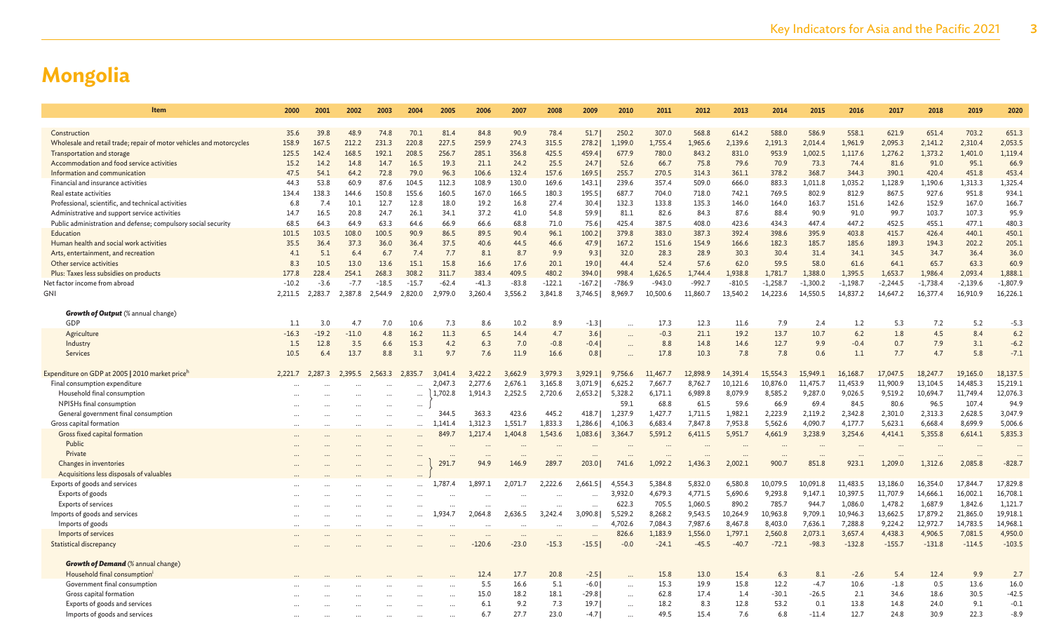| Item                                                                                                | 2000         | 2001         | 2002          | 2003          | 2004         | 2005             | 2006         | 2007         | 2008         | 2009             | 2010                 | 2011               | 2012            | 2013                 | 2014            | 2015            | 2016            | 2017               | 2018            | 2019             | 2020               |
|-----------------------------------------------------------------------------------------------------|--------------|--------------|---------------|---------------|--------------|------------------|--------------|--------------|--------------|------------------|----------------------|--------------------|-----------------|----------------------|-----------------|-----------------|-----------------|--------------------|-----------------|------------------|--------------------|
|                                                                                                     |              |              |               |               |              |                  |              |              |              |                  |                      |                    |                 |                      |                 |                 |                 |                    |                 |                  |                    |
| Construction                                                                                        | 35.6         | 39.8         | 48.9          | 74.8          | 70.1         | 81.4             | 84.8         | 90.9         | 78.4         | 51.7             | 250.2                | 307.0              | 568.8           | 614.2                | 588.0           | 586.9           | 558.1           | 621.9              | 651.4           | 703.2            | 651.3              |
| Wholesale and retail trade; repair of motor vehicles and motorcycles                                | 158.9        | 167.5        | 212.2         | 231.3         | 220.8        | 227.5            | 259.9        | 274.3        | 315.5        | 278.2            | 1,199.0              | 1,755.4            | 1,965.6         | 2,139.6              | 2,191.3         | 2,014.4         | 1,961.9         | 2,095.3            | 2,141.2         | 2,310.4          | 2,053.5            |
| Transportation and storage                                                                          | 125.5        | 142.4        | 168.5         | 192.1         | 208.5        | 256.7            | 285.1        | 356.8        | 425.5        | 459.4            | 677.9                | 780.0              | 843.2           | 831.0                | 953.9           | 1,002.5         | 1,117.6         | 1,276.2            | 1,373.2         | 1,401.0          | 1,119.4            |
| Accommodation and food service activities                                                           | 15.2         | 14.2         | 14.8          | 14.7          | 16.5         | 19.3             | 21.1         | 24.2         | 25.5         | 24.7             | 52.6                 | 66.7               | 75.8            | 79.6                 | 70.9            | 73.3            | 74.4            | 81.6               | 91.0            | 95.1             | 66.9               |
| Information and communication                                                                       | 47.5         | 54.1         | 64.2          | 72.8          | 79.0         | 96.3             | 106.6        | 132.4        | 157.6        | 169.5            | 255.7                | 270.5              | 314.3           | 361.1                | 378.2           | 368.7           | 344.3           | 390.1              | 420.4           | 451.8            | 453.4              |
| Financial and insurance activities                                                                  | 44.3         | 53.8         | 60.9          | 87.6          | 104.5        | 112.3            | 108.9        | 130.0        | 169.6        | 143.1            | 239.6                | 357.4              | 509.0           | 666.0                | 883.3           | 1,011.8         | 1,035.2         | 1,128.9            | 1,190.6         | 1,313.3          | 1,325.4            |
| Real estate activities                                                                              | 134.4<br>6.8 | 138.3<br>7.4 | 144.6<br>10.1 | 150.8<br>12.7 | 155.6        | 160.5            | 167.0        | 166.5        | 180.3        | 195.5            | 687.7                | 704.0              | 718.0           | 742.1                | 769.5           | 802.9           | 812.9           | 867.5<br>142.6     | 927.6           | 951.8<br>167.0   | 934.1<br>166.7     |
| Professional, scientific, and technical activities<br>Administrative and support service activities | 14.7         | 16.5         | 20.8          | 24.7          | 12.8<br>26.1 | 18.0<br>34.1     | 19.2<br>37.2 | 16.8<br>41.0 | 27.4<br>54.8 | 30.4<br>59.9     | 132.3<br>81.1        | 133.8<br>82.6      | 135.3<br>84.3   | 146.0<br>87.6        | 164.0<br>88.4   | 163.7<br>90.9   | 151.6<br>91.0   | 99.7               | 152.9<br>103.7  | 107.3            | 95.9               |
| Public administration and defense; compulsory social security                                       | 68.5         | 64.3         | 64.9          | 63.3          | 64.6         | 66.9             | 66.6         | 68.8         | 71.0         | 75.6             | 425.4                | 387.5              | 408.0           | 423.6                | 434.3           | 447.4           | 447.2           | 452.5              | 455.1           | 477.1            | 480.3              |
| Education                                                                                           | 101.5        | 103.5        | 108.0         | 100.5         | 90.9         | 86.5             | 89.5         | 90.4         | 96.1         | 100.2            | 379.8                | 383.0              | 387.3           | 392.4                | 398.6           | 395.9           | 403.8           | 415.7              | 426.4           | 440.1            | 450.1              |
| Human health and social work activities                                                             | 35.5         | 36.4         | 37.3          | 36.0          | 36.4         | 37.5             | 40.6         | 44.5         | 46.6         | 47.9             | 167.2                | 151.6              | 154.9           | 166.6                | 182.3           | 185.7           | 185.6           | 189.3              | 194.3           | 202.2            | 205.1              |
| Arts, entertainment, and recreation                                                                 | 4.1          | 5.1          | 6.4           | 6.7           | 7.4          | 7.7              | 8.1          | 8.7          | 9.9          | 9.3              | 32.0                 | 28.3               | 28.9            | 30.3                 | 30.4            | 31.4            | 34.1            | 34.5               | 34.7            | 36.4             | 36.0               |
| Other service activities                                                                            | 8.3          | 10.5         | 13.0          | 13.6          | 15.1         | 15.8             | 16.6         | 17.6         | 20.1         | 19.0             | 44.4                 | 52.4               | 57.6            | 62.0                 | 59.5            | 58.0            | 61.6            | 64.1               | 65.7            | 63.3             | 60.9               |
| Plus: Taxes less subsidies on products                                                              | 177.8        | 228.4        | 254.1         | 268.3         | 308.2        | 311.7            | 383.4        | 409.5        | 480.2        | 394.0            | 998.4                | 1,626.5            | 1,744.4         | 1,938.8              | 1,781.7         | 1,388.0         | 1,395.5         | 1,653.7            | 1,986.4         | 2,093.4          | 1,888.1            |
| Net factor income from abroad                                                                       | $-10.2$      | $-3.6$       | $-7.7$        | $-18.5$       | $-15.7$      | $-62.4$          | $-41.3$      | $-83.8$      | $-122.1$     | $-167.2$         | $-786.9$             | $-943.0$           | $-992.7$        | $-810.5$             | $-1,258.7$      | $-1,300.2$      | $-1,198.7$      | $-2,244.5$         | $-1,738.4$      | $-2,139.6$       | $-1,807.9$         |
| GNI                                                                                                 | 2.211.5      | 2.283.7      | 2.387.8       | 2.544.9       | 2.820.0      | 2,979.0          | 3,260.4      | 3,556.2      | 3,841.8      | 3,746.5          | 8,969.7              | 10,500.6           | 11,860.7        | 13,540.2             | 14,223.6        | 14,550.5        | 14,837.2        | 14,647.2           | 16,377.4        | 16,910.9         | 16,226.1           |
|                                                                                                     |              |              |               |               |              |                  |              |              |              |                  |                      |                    |                 |                      |                 |                 |                 |                    |                 |                  |                    |
| <b>Growth of Output</b> (% annual change)                                                           |              |              |               |               |              |                  |              |              |              |                  |                      |                    |                 |                      |                 |                 |                 |                    |                 |                  |                    |
| GDP                                                                                                 | 1.1          | 3.0          | 4.7           | 7.0           | 10.6         | 7.3              | 8.6          | 10.2         | 8.9          | $-1.3$           | $\ddotsc$            | 17.3               | 12.3            | 11.6                 | 7.9             | 2.4             | 1.2             | 5.3                | 7.2             | 5.2              | $-5.3$             |
| Agriculture                                                                                         | $-16.3$      | $-19.2$      | $-11.0$       | 4.8           | 16.2         | 11.3             | 6.5          | 14.4         | 4.7          | 3.6              |                      | $-0.3$             | 21.1            | 19.2                 | 13.7            | 10.7            | 6.2             | 1.8                | 4.5             | 8.4              | 6.2                |
| Industry                                                                                            | 1.5          | 12.8         | 3.5           | 6.6           | 15.3         | 4.2              | 6.3          | 7.0          | $-0.8$       | $-0.4$           | $\ddot{\phantom{a}}$ | 8.8                | 14.8            | 14.6                 | 12.7            | 9.9             | $-0.4$          | 0.7                | 7.9             | 3.1              | $-6.2$             |
| Services                                                                                            | 10.5         | 6.4          | 13.7          | 8.8           | 3.1          | 9.7              | 7.6          | 11.9         | 16.6         | 0.8              | $\ddot{\phantom{a}}$ | 17.8               | 10.3            | 7.8                  | 7.8             | 0.6             | 1.1             | 7.7                | 4.7             | 5.8              | $-7.1$             |
|                                                                                                     |              |              |               |               |              |                  |              |              |              |                  |                      |                    |                 |                      |                 |                 |                 |                    |                 |                  |                    |
| Expenditure on GDP at 2005   2010 market priceh                                                     | 2,221.7      | 2.287.3      | 2.395.5       | 2,563.3       | 2.835.7      | 3.041.4          | 3.422.2      | 3,662.9      | 3.979.3      | 3,929.1          | 9,756.6              | 11,467.7           | 12,898.9        | 14,391.4             | 15,554.3        | 15,949.1        | 16,168.7        | 17,047.5           | 18,247.7        | 19,165.0         | 18,137.5           |
| Final consumption expenditure                                                                       |              |              |               |               |              | 2,047.3          | 2,277.6      | 2,676.1      | 3,165.8      | 3,071.9          | 6,625.2              | 7,667.7            | 8,762.7         | 10,121.6             | 10,876.0        | 11,475.7        | 11,453.9        | 11,900.9           | 13,104.5        | 14,485.3         | 15,219.1           |
| Household final consumption                                                                         |              |              |               |               |              | 1,702.8          | 1,914.3      | 2,252.5      | 2,720.6      | 2,653.2          | 5,328.2              | 6,171.1            | 6,989.8         | 8,079.9              | 8,585.2         | 9,287.0         | 9,026.5         | 9,519.2            | 10,694.7        | 11,749.4         | 12,076.3           |
| NPISHs final consumption                                                                            |              |              |               |               |              |                  | 363.3        | 423.6        | 445.2        |                  | 59.1<br>1,237.9      | 68.8               | 61.5<br>1,711.5 | 59.6<br>1,982.1      | 66.9<br>2,223.9 | 69.4<br>2,119.2 | 84.5<br>2,342.8 | 80.6               | 96.5<br>2,313.3 | 107.4<br>2,628.5 | 94.9               |
| General government final consumption<br>Gross capital formation                                     |              |              |               |               |              | 344.5            | 1,312.3      | 1,551.7      | 1,833.3      | 418.7<br>1,286.6 | 4,106.3              | 1,427.7<br>6,683.4 | 7,847.8         | 7,953.8              | 5,562.6         | 4,090.7         | 4,177.7         | 2,301.0<br>5,623.1 | 6,668.4         | 8,699.9          | 3,047.9<br>5,006.6 |
| Gross fixed capital formation                                                                       |              |              | $\ddotsc$     |               |              | 1,141.4<br>849.7 | 1,217.4      | 1,404.8      | 1,543.6      | 1,083.6          | 3,364.7              | 5,591.2            | 6,411.5         | 5,951.7              | 4,661.9         | 3,238.9         | 3,254.6         | 4,414.1            | 5,355.8         | 6,614.1          | 5,835.3            |
| Public                                                                                              |              |              |               |               |              |                  |              |              |              |                  |                      |                    |                 |                      |                 |                 |                 |                    |                 |                  |                    |
| Private                                                                                             |              |              |               |               | $\cdots$     | $\cdots$         |              |              |              |                  |                      |                    | $\cdots$        | $\ddot{\phantom{a}}$ | $\cdots$        |                 |                 |                    |                 |                  |                    |
| Changes in inventories                                                                              |              |              |               |               | $\cdots$     | 291.7            | 94.9         | 146.9        | 289.7        | 203.0            | 741.6                | 1,092.2            | 1,436.3         | 2,002.1              | 900.7           | 851.8           | 923.1           | 1,209.0            | 1,312.6         | 2,085.8          | $-828.7$           |
| Acquisitions less disposals of valuables                                                            |              |              |               |               |              |                  |              |              |              |                  |                      |                    |                 |                      |                 |                 |                 |                    |                 |                  |                    |
| Exports of goods and services                                                                       |              |              |               |               |              | 1,787.4          | 1,897.1      | 2,071.7      | 2,222.6      | 2.661.51         | 4,554.3              | 5.384.8            | 5,832.0         | 6,580.8              | 10,079.5        | 10,091.8        | 11,483.5        | 13,186.0           | 16,354.0        | 17,844.7         | 17,829.8           |
| Exports of goods                                                                                    |              |              |               |               |              |                  |              |              |              |                  | 3,932.0              | 4,679.3            | 4,771.5         | 5,690.6              | 9,293.8         | 9,147.1         | 10,397.5        | 11,707.9           | 14,666.1        | 16,002.1         | 16,708.1           |
| Exports of services                                                                                 |              |              |               |               |              |                  |              |              |              |                  | 622.3                | 705.5              | 1,060.5         | 890.2                | 785.7           | 944.7           | 1,086.0         | 1,478.2            | 1,687.9         | 1,842.6          | 1,121.7            |
| Imports of goods and services                                                                       |              |              |               |               |              | 1,934.7          | 2,064.8      | 2,636.5      | 3,242.4      | 3,090.8          | 5,529.2              | 8,268.2            | 9,543.5         | 10,264.9             | 10,963.8        | 9,709.1         | 10,946.3        | 13,662.5           | 17,879.2        | 21,865.0         | 19,918.1           |
| Imports of goods                                                                                    |              |              |               |               | $\ddotsc$    |                  |              |              |              |                  | 4,702.6              | 7,084.3            | 7,987.6         | 8,467.8              | 8,403.0         | 7,636.1         | 7,288.8         | 9,224.2            | 12,972.7        | 14,783.5         | 14,968.1           |
| Imports of services                                                                                 |              |              |               |               |              |                  |              | $\ddotsc$    |              |                  | 826.6                | 1,183.9            | 1,556.0         | 1,797.1              | 2,560.8         | 2,073.1         | 3,657.4         | 4,438.3            | 4,906.5         | 7,081.5          | 4,950.0            |
| Statistical discrepancy                                                                             |              |              |               |               |              |                  | $-120.6$     | $-23.0$      | $-15.3$      | $-15.5$          | $-0.0$               | $-24.1$            | $-45.5$         | $-40.7$              | $-72.1$         | $-98.3$         | $-132.8$        | $-155.7$           | $-131.8$        | $-114.5$         | $-103.5$           |
|                                                                                                     |              |              |               |               |              |                  |              |              |              |                  |                      |                    |                 |                      |                 |                 |                 |                    |                 |                  |                    |
| <b>Growth of Demand</b> (% annual change)                                                           |              |              |               |               |              |                  |              |              |              |                  |                      |                    |                 |                      |                 |                 |                 |                    |                 |                  |                    |
| Household final consumption                                                                         |              |              |               |               |              |                  | 12.4         | 17.7         | 20.8         | $-2.5$           |                      | 15.8               | 13.0            | 15.4                 | 6.3             | 8.1             | $-2.6$          | 5.4                | 12.4            | 9.9              | 2.7                |
| Government final consumption                                                                        |              |              |               |               |              |                  | 5.5          | 16.6         | 5.1          | $-6.0$           | $\ddot{\phantom{a}}$ | 15.3               | 19.9            | 15.8                 | 12.2            | $-4.7$          | 10.6            | $-1.8$             | 0.5             | 13.6             | 16.0               |
| Gross capital formation                                                                             |              |              |               |               |              |                  | 15.0         | 18.2         | 18.1         | $-29.8$          | $\ddotsc$            | 62.8               | 17.4            | 1.4                  | $-30.1$         | $-26.5$         | 2.1             | 34.6               | 18.6            | 30.5             | $-42.5$            |
| Exports of goods and services                                                                       |              |              |               |               |              |                  | 6.1          | 9.2          | 7.3          | 19.7             | $\ddotsc$            | 18.2               | 8.3             | 12.8                 | 53.2            | 0.1             | 13.8            | 14.8               | 24.0            | 9.1              | $-0.1$             |
| Imports of goods and services                                                                       |              |              |               |               |              |                  | 6.7          | 27.7         | 23.0         | $-4.7$           |                      | 49.5               | 15.4            | 7.6                  | 6.8             | $-11.4$         | 12.7            | 24.8               | 30.9            | 22.3             | $-8.9$             |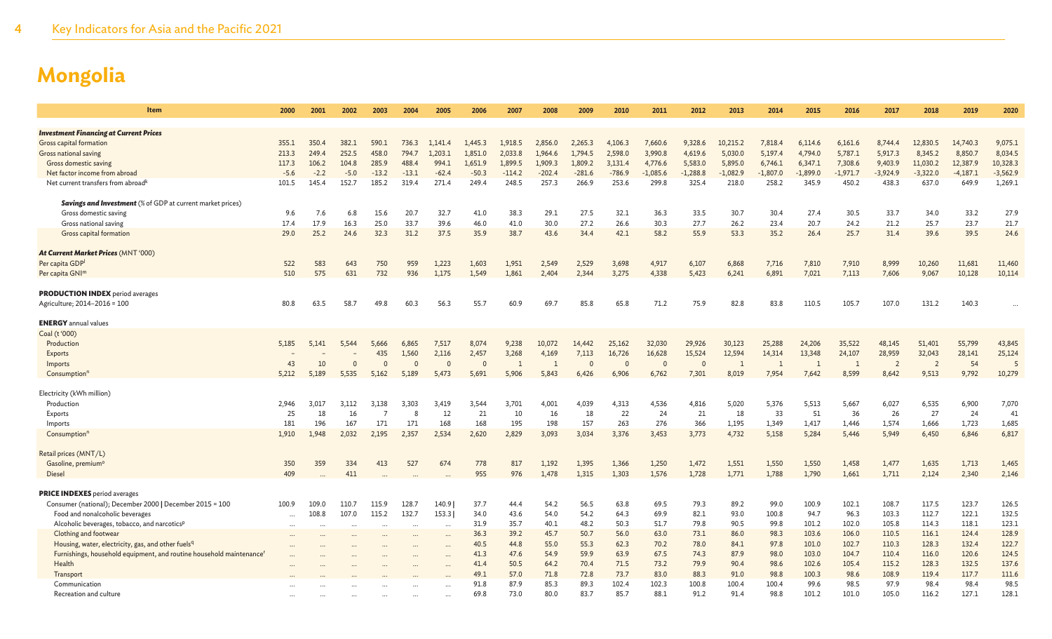| Item                                                                             | 2000        | 2001        | 2002        | 2003           | 2004         | 2005         | 2006         | 2007           | 2008         | 2009         | 2010         | 2011           | 2012           | 2013           | 2014         | 2015         | 2016           | 2017           | 2018           | 2019         | 2020         |
|----------------------------------------------------------------------------------|-------------|-------------|-------------|----------------|--------------|--------------|--------------|----------------|--------------|--------------|--------------|----------------|----------------|----------------|--------------|--------------|----------------|----------------|----------------|--------------|--------------|
|                                                                                  |             |             |             |                |              |              |              |                |              |              |              |                |                |                |              |              |                |                |                |              |              |
| <b>Investment Financing at Current Prices</b>                                    |             |             |             |                |              |              |              |                |              |              |              |                |                |                |              |              |                |                |                |              |              |
| Gross capital formation                                                          | 355.1       | 350.4       | 382.1       | 590.1          | 736.3        | 1,141.4      | 1,445.3      | 1,918.5        | 2,856.0      | 2,265.3      | 4,106.3      | 7,660.6        | 9,328.6        | 10,215.2       | 7,818.4      | 6,114.6      | 6,161.6        | 8,744.4        | 12,830.5       | 14,740.3     | 9,075.1      |
| Gross national saving                                                            | 213.3       | 249.4       | 252.5       | 458.0          | 794.7        | 1,203.1      | 1,851.0      | 2,033.8        | 1.964.6      | 1.794.5      | 2,598.0      | 3,990.8        | 4,619.6        | 5,030.0        | 5,197.4      | 4,794.0      | 5,787.1        | 5,917.3        | 8,345.2        | 8,850.7      | 8,034.5      |
| Gross domestic saving                                                            | 117.3       | 106.2       | 104.8       | 285.9          | 488.4        | 994.1        | 1,651.9      | 1,899.5        | 1.909.3      | 1,809.2      | 3,131.4      | 4,776.6        | 5,583.0        | 5,895.0        | 6,746.1      | 6,347.1      | 7,308.6        | 9,403.9        | 11,030.2       | 12,387.9     | 10,328.3     |
| Net factor income from abroad                                                    | $-5.6$      | $-2.2$      | $-5.0$      | $-13.2$        | $-13.1$      | $-62.4$      | $-50.3$      | $-114.2$       | $-202.4$     | $-281.6$     | $-786.9$     | $-1,085.6$     | $-1,288.8$     | $-1,082.9$     | $-1,807.0$   | $-1,899.0$   | $-1,971.7$     | $-3,924.9$     | $-3,322.0$     | $-4,187.1$   | $-3,562.9$   |
| Net current transfers from abroad <sup>k</sup>                                   | 101.5       | 145.4       | 152.7       | 185.2          | 319.4        | 271.4        | 249.4        | 248.5          | 257.3        | 266.9        | 253.6        | 299.8          | 325.4          | 218.0          | 258.2        | 345.9        | 450.2          | 438.3          | 637.0          | 649.9        | 1,269.1      |
|                                                                                  |             |             |             |                |              |              |              |                |              |              |              |                |                |                |              |              |                |                |                |              |              |
| <b>Savings and Investment</b> (% of GDP at current market prices)                |             |             |             |                |              |              |              |                |              |              |              |                |                |                |              |              |                |                |                |              |              |
| Gross domestic saving                                                            | 9.6<br>17.4 | 7.6<br>17.9 | 6.8<br>16.3 | 15.6<br>25.0   | 20.7<br>33.7 | 32.7<br>39.6 | 41.0<br>46.0 | 38.3           | 29.1<br>30.0 | 27.5<br>27.2 | 32.1<br>26.6 | 36.3<br>30.3   | 33.5<br>27.7   | 30.7<br>26.2   | 30.4<br>23.4 | 27.4<br>20.7 | 30.5<br>24.2   | 33.7<br>21.2   | 34.0<br>25.7   | 33.2<br>23.7 | 27.9         |
| Gross national saving<br>Gross capital formation                                 | 29.0        | 25.2        | 24.6        | 32.3           | 31.2         | 37.5         | 35.9         | 41.0<br>38.7   | 43.6         | 34.4         | 42.1         | 58.2           | 55.9           | 53.3           | 35.2         | 26.4         | 25.7           | 31.4           | 39.6           | 39.5         | 21.7<br>24.6 |
|                                                                                  |             |             |             |                |              |              |              |                |              |              |              |                |                |                |              |              |                |                |                |              |              |
| At Current Market Prices (MNT '000)                                              |             |             |             |                |              |              |              |                |              |              |              |                |                |                |              |              |                |                |                |              |              |
| Per capita GDP                                                                   | 522         | 583         | 643         | 750            | 959          | 1,223        | 1,603        | 1,951          | 2,549        | 2,529        | 3,698        | 4,917          | 6,107          | 6,868          | 7,716        | 7,810        | 7,910          | 8,999          | 10,260         | 11,681       | 11,460       |
| Per capita GNI <sup>m</sup>                                                      | 510         | 575         | 631         | 732            | 936          | 1,175        | 1.549        | 1,861          | 2,404        | 2,344        | 3,275        | 4,338          | 5,423          | 6,241          | 6,891        | 7,021        | 7,113          | 7,606          | 9,067          | 10,128       | 10,114       |
|                                                                                  |             |             |             |                |              |              |              |                |              |              |              |                |                |                |              |              |                |                |                |              |              |
| <b>PRODUCTION INDEX</b> period averages                                          |             |             |             |                |              |              |              |                |              |              |              |                |                |                |              |              |                |                |                |              |              |
| Agriculture; 2014-2016 = 100                                                     | 80.8        | 63.5        | 58.7        | 49.8           | 60.3         | 56.3         | 55.7         | 60.9           | 69.7         | 85.8         | 65.8         | 71.2           | 75.9           | 82.8           | 83.8         | 110.5        | 105.7          | 107.0          | 131.2          | 140.3        |              |
|                                                                                  |             |             |             |                |              |              |              |                |              |              |              |                |                |                |              |              |                |                |                |              |              |
| <b>ENERGY</b> annual values                                                      |             |             |             |                |              |              |              |                |              |              |              |                |                |                |              |              |                |                |                |              |              |
| Coal (t '000)                                                                    |             |             |             |                |              |              |              |                |              |              |              |                |                |                |              |              |                |                |                |              |              |
| Production                                                                       | 5,185       | 5,141       | 5,544       | 5,666          | 6,865        | 7,517        | 8,074        | 9,238          | 10,072       | 14,442       | 25,162       | 32,030         | 29,926         | 30,123         | 25,288       | 24,206       | 35,522         | 48,145         | 51,401         | 55,799       | 43,845       |
| Exports                                                                          |             |             |             | 435            | 1,560        | 2,116        | 2,457        | 3,268          | 4,169        | 7,113        | 16,726       | 16,628         | 15,524         | 12,594         | 14,314       | 13,348       | 24,107         | 28,959         | 32,043         | 28,141       | 25,124       |
| Imports                                                                          | 43          | 10          | $\Omega$    | $\Omega$       | $\Omega$     |              | $\Omega$     | $\overline{1}$ |              | $\Omega$     | $\Omega$     | $\overline{0}$ | $\overline{0}$ | $\overline{1}$ | $\mathbf{1}$ |              | $\overline{1}$ | $\overline{2}$ | $\overline{2}$ | 54           |              |
| Consumption <sup>r</sup>                                                         | 5,212       | 5,189       | 5,535       | 5,162          | 5,189        | 5,473        | 5,691        | 5,906          | 5,843        | 6,426        | 6,906        | 6,762          | 7,301          | 8,019          | 7,954        | 7,642        | 8,599          | 8,642          | 9,513          | 9,792        | 10,279       |
|                                                                                  |             |             |             |                |              |              |              |                |              |              |              |                |                |                |              |              |                |                |                |              |              |
| Electricity (kWh million)                                                        |             |             |             |                |              |              |              |                |              |              |              |                |                |                |              |              |                |                |                |              |              |
| Production                                                                       | 2,946       | 3.017       | 3,112       | 3,138          | 3,303        | 3,419        | 3,544        | 3,701          | 4,001        | 4,039        | 4,313        | 4,536          | 4,816          | 5,020          | 5,376        | 5,513        | 5,667          | 6,027          | 6,535          | 6,900        | 7,070        |
| Exports                                                                          | 25          | 18          | 16          | $\overline{7}$ | -8           | 12           | 21           | 10             | 16           | 18           | 22           | 24             | 21             | 18             | 33           | 51           | 36             | 26             | 27             | 24           | 41           |
| Imports                                                                          | 181         | 196         | 167         | 171            | 171          | 168          | 168          | 195            | 198          | 157          | 263          | 276            | 366            | 1,195          | 1,349        | 1,417        | 1,446          | 1,574          | 1,666          | 1,723        | 1,685        |
| Consumption <sup>r</sup>                                                         | 1.910       | 1.948       | 2,032       | 2,195          | 2,357        | 2,534        | 2,620        | 2,829          | 3,093        | 3,034        | 3,376        | 3,453          | 3,773          | 4.732          | 5,158        | 5,284        | 5,446          | 5,949          | 6,450          | 6,846        | 6,817        |
|                                                                                  |             |             |             |                |              |              |              |                |              |              |              |                |                |                |              |              |                |                |                |              |              |
| Retail prices (MNT/L)                                                            |             |             |             |                |              |              |              |                |              |              |              |                |                |                |              |              |                |                |                |              |              |
| Gasoline, premium <sup>o</sup><br><b>Diesel</b>                                  | 350<br>409  | 359         | 334         | 413            | 527          | 674          | 778<br>955   | 817<br>976     | 1,192        | 1,395        | 1,366        | 1,250<br>1,576 | 1,472          | 1,551          | 1,550        | 1,550        | 1,458          | 1,477          | 1,635          | 1,713        | 1,465        |
|                                                                                  |             |             | 411         |                |              |              |              |                | 1,478        | 1,315        | 1,303        |                | 1,728          | 1,771          | 1,788        | 1,790        | 1,661          | 1,711          | 2,124          | 2,340        | 2,146        |
| <b>PRICE INDEXES</b> period averages                                             |             |             |             |                |              |              |              |                |              |              |              |                |                |                |              |              |                |                |                |              |              |
| Consumer (national); December 2000   December 2015 = 100                         | 100.9       | 109.0       | 110.7       | 115.9          | 128.7        | 140.9        | 37.7         | 44.4           | 54.2         | 56.5         | 63.8         | 69.5           | 79.3           | 89.2           | 99.0         | 100.9        | 102.1          | 108.7          | 117.5          | 123.7        | 126.5        |
| Food and nonalcoholic beverages                                                  | $\cdots$    | 108.8       | 107.0       | 115.2          | 132.7        | 153.3        | 34.0         | 43.6           | 54.0         | 54.2         | 64.3         | 69.9           | 82.1           | 93.0           | 100.8        | 94.7         | 96.3           | 103.3          | 112.7          | 122.1        | 132.5        |
| Alcoholic beverages, tobacco, and narcotics <sup>p</sup>                         | $\cdots$    |             |             | $\ddotsc$      |              | $\ddotsc$    | 31.9         | 35.7           | 40.1         | 48.2         | 50.3         | 51.7           | 79.8           | 90.5           | 99.8         | 101.2        | 102.0          | 105.8          | 114.3          | 118.1        | 123.1        |
| Clothing and footwear                                                            | $\cdots$    |             |             | $\cdots$       | $\ddots$     | $\ddotsc$    | 36.3         | 39.2           | 45.7         | 50.7         | 56.0         | 63.0           | 73.1           | 86.0           | 98.3         | 103.6        | 106.0          | 110.5          | 116.1          | 124.4        | 128.9        |
| Housing, water, electricity, gas, and other fuels <sup>q</sup>                   |             |             |             |                |              |              | 40.5         | 44.8           | 55.0         | 55.3         | 62.3         | 70.2           | 78.0           | 84.1           | 97.8         | 101.0        | 102.7          | 110.3          | 128.3          | 132.4        | 122.7        |
| Furnishings, household equipment, and routine household maintenance <sup>t</sup> |             |             |             |                |              |              | 41.3         | 47.6           | 54.9         | 59.9         | 63.9         | 67.5           | 74.3           | 87.9           | 98.0         | 103.0        | 104.7          | 110.4          | 116.0          | 120.6        | 124.5        |
| Health                                                                           |             |             |             |                |              |              | 41.4         | 50.5           | 64.2         | 70.4         | 71.5         | 73.2           | 79.9           | 90.4           | 98.6         | 102.6        | 105.4          | 115.2          | 128.3          | 132.5        | 137.6        |
| Transport                                                                        |             |             |             |                |              |              | 49.1         | 57.0           | 71.8         | 72.8         | 73.7         | 83.0           | 88.3           | 91.0           | 98.8         | 100.3        | 98.6           | 108.9          | 119.4          | 117.7        | 111.6        |
| Communication                                                                    |             |             |             |                |              |              | 91.8         | 87.9           | 85.3         | 89.3         | 102.4        | 102.3          | 100.8          | 100.4          | 100.4        | 99.6         | 98.5           | 97.9           | 98.4           | 98.4         | 98.5         |
| Recreation and culture                                                           |             |             |             |                |              |              | 69.8         | 73.0           | 80.0         | 83.7         | 85.7         | 88.1           | 91.2           | 91.4           | 98.8         | 101.2        | 101.0          | 105.0          | 116.2          | 127.1        | 128.1        |
|                                                                                  |             |             |             |                |              |              |              |                |              |              |              |                |                |                |              |              |                |                |                |              |              |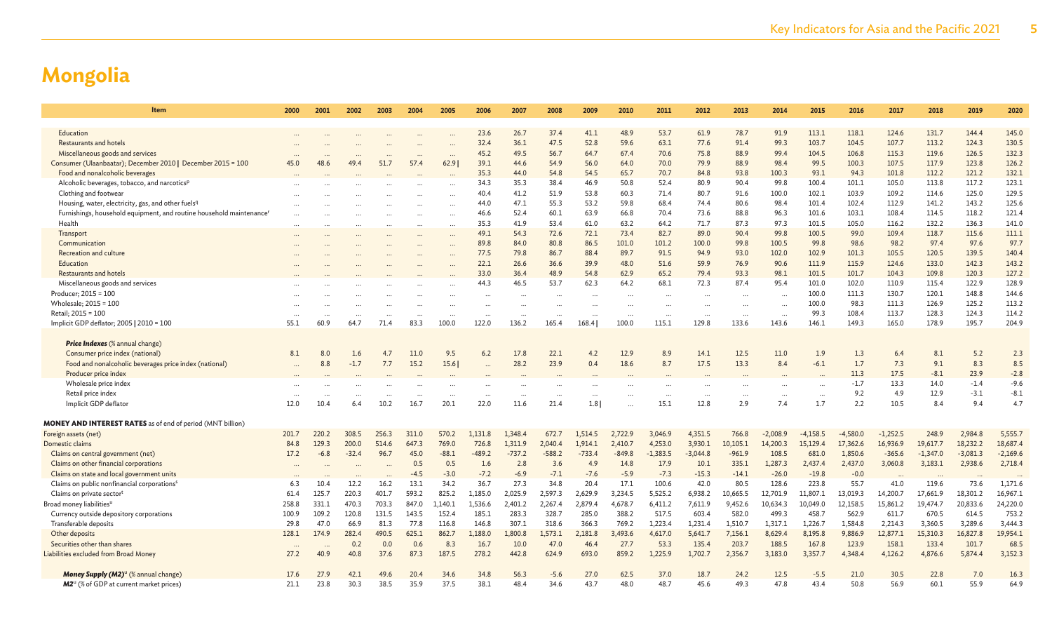| Item                                                                             | 2000             | 2001      | 2002    | 2003  | 2004   | 2005     | 2006     | 2007                 | 2008                 | 2009     | 2010     | 2011       | 2012       | 2013      | 2014       | 2015       | 2016       | 2017       | 2018       | 2019       | 2020       |
|----------------------------------------------------------------------------------|------------------|-----------|---------|-------|--------|----------|----------|----------------------|----------------------|----------|----------|------------|------------|-----------|------------|------------|------------|------------|------------|------------|------------|
|                                                                                  |                  |           |         |       |        |          |          |                      |                      |          |          |            |            |           |            |            |            |            |            |            |            |
| Education                                                                        |                  |           |         |       |        |          | 23.6     | 26.7                 | 37.4                 | 41.1     | 48.9     | 53.7       | 61.9       | 78.7      | 91.9       | 113.1      | 118.1      | 124.6      | 131.7      | 144.4      | 145.0      |
| Restaurants and hotels                                                           |                  |           |         |       |        |          | 32.4     | 36.1                 | 47.5                 | 52.8     | 59.6     | 63.1       | 77.6       | 91.4      | 99.3       | 103.7      | 104.5      | 107.7      | 113.2      | 124.3      | 130.5      |
| Miscellaneous goods and services                                                 |                  |           |         |       |        |          | 45.2     | 49.5                 | 56.7                 | 64.7     | 67.4     | 70.6       | 75.8       | 88.9      | 99.4       | 104.5      | 106.8      | 115.3      | 119.6      | 126.5      | 132.3      |
| Consumer (Ulaanbaatar); December 2010   December 2015 = 100                      | 45.0             | 48.6      |         | 51.7  | 57.4   | 62.9     | 39.1     | 44.6                 | 54.9                 | 56.0     | 64.0     | 70.0       | 79.9       | 88.9      | 98.4       | 99.5       | 100.3      | 107.5      | 117.9      | 123.8      | 126.2      |
| Food and nonalcoholic beverages                                                  |                  |           |         |       |        |          | 35.3     | 44.0                 | 54.8                 | 54.5     | 65.7     | 70.7       | 84.8       | 93.8      | 100.3      | 93.1       | 94.3       | 101.8      | 112.2      | 121.2      | 132.1      |
| Alcoholic beverages, tobacco, and narcotics <sup>p</sup>                         |                  |           |         |       |        | $\cdots$ | 34.3     | 35.3                 | 38.4                 | 46.9     | 50.8     | 52.4       | 80.9       | 90.4      | 99.8       | 100.4      | 101.1      | 105.0      | 113.8      | 117.2      | 123.1      |
| Clothing and footwear                                                            |                  |           |         |       |        | $\cdots$ | 40.4     | 41.2                 | 51.9                 | 53.8     | 60.3     | 71.4       | 80.7       | 91.6      | 100.0      | 102.1      | 103.9      | 109.2      | 114.6      | 125.0      | 129.5      |
| Housing, water, electricity, gas, and other fuels <sup>q</sup>                   |                  |           |         |       |        |          | 44.0     | 47.1                 | 55.3                 | 53.2     | 59.8     | 68.4       | 74.4       | 80.6      | 98.4       | 101.4      | 102.4      | 112.9      | 141.2      | 143.2      | 125.6      |
| Furnishings, household equipment, and routine household maintenance <sup>r</sup> |                  |           |         |       |        |          | 46.6     | 52.4                 | 60.1                 | 63.9     | 66.8     | 70.4       | 73.6       | 88.8      | 96.3       | 101.6      | 103.1      | 108.4      | 114.5      | 118.2      | 121.4      |
| Health                                                                           |                  |           |         |       |        | $\cdots$ | 35.3     | 41.9                 | 53.4                 | 61.0     | 63.2     | 64.2       | 71.7       | 87.3      | 97.3       | 101.5      | 105.0      | 116.2      | 132.2      | 136.3      | 141.0      |
| Transport                                                                        |                  |           |         |       |        | $\cdots$ | 49.1     | 54.3                 | 72.6                 | 72.1     | 73.4     | 82.7       | 89.0       | 90.4      | 99.8       | 100.5      | 99.0       | 109.4      | 118.7      | 115.6      | 111.1      |
| Communication                                                                    |                  |           |         |       |        | $\cdots$ | 89.8     | 84.0                 | 80.8                 | 86.5     | 101.0    | 101.2      | 100.0      | 99.8      | 100.5      | 99.8       | 98.6       | 98.2       | 97.4       | 97.6       | 97.7       |
| Recreation and culture                                                           |                  |           |         |       |        |          | 77.5     | 79.8                 | 86.7                 | 88.4     | 89.7     | 91.5       | 94.9       | 93.0      | 102.0      | 102.9      | 101.3      | 105.5      | 120.5      | 139.5      | 140.4      |
| Education                                                                        |                  |           |         |       |        |          | 22.1     | 26.6                 | 36.6                 | 39.9     | 48.0     | 51.6       | 59.9       | 76.9      | 90.6       | 111.9      | 115.9      | 124.6      | 133.0      | 142.3      | 143.2      |
| Restaurants and hotels                                                           |                  |           |         |       |        |          | 33.0     | 36.4                 | 48.9                 | 54.8     | 62.9     | 65.2       | 79.4       | 93.3      | 98.1       | 101.5      | 101.7      | 104.3      | 109.8      | 120.3      | 127.2      |
| Miscellaneous goods and services                                                 |                  |           |         |       |        |          | 44.3     | 46.5                 | 53.7                 | 62.3     | 64.2     | 68.1       | 72.3       | 87.4      | 95.4       | 101.0      | 102.0      | 110.9      | 115.4      | 122.9      | 128.9      |
| Producer; 2015 = 100                                                             |                  |           |         |       |        |          |          | $\ddot{\phantom{a}}$ | $\ddot{\phantom{a}}$ |          | $\ddots$ | $\cdots$   |            | $\ddotsc$ | $\ddots$   | 100.0      | 111.3      | 130.7      | 120.1      | 148.8      | 144.6      |
| Wholesale; 2015 = 100                                                            |                  |           |         |       |        |          |          |                      |                      |          |          |            |            |           |            | 100.0      | 98.3       | 111.3      | 126.9      | 125.2      | 113.2      |
| Retail; 2015 = 100                                                               |                  |           |         |       |        |          |          |                      |                      |          |          | $\cdots$   |            | $\cdots$  | $\cdots$   | 99.3       | 108.4      | 113.7      | 128.3      | 124.3      | 114.2      |
| Implicit GDP deflator; 2005   2010 = 100                                         | 55.1             | 60.9      | 64.7    | 71.4  | 83.3   | 100.0    | 122.0    | 136.2                | 165.4                | 168.4    | 100.0    | 115.1      | 129.8      | 133.6     | 143.6      | 146.1      | 149.3      | 165.0      | 178.9      | 195.7      | 204.9      |
|                                                                                  |                  |           |         |       |        |          |          |                      |                      |          |          |            |            |           |            |            |            |            |            |            |            |
| <b>Price Indexes</b> (% annual change)                                           |                  |           |         |       |        |          |          |                      |                      |          |          |            |            |           |            |            |            |            |            |            |            |
| Consumer price index (national)                                                  | 8.1              | 8.0       | 1.6     | 4.7   | 11.0   | 9.5      | 6.2      | 17.8                 | 22.1                 | 4.2      | 12.9     | 8.9        | 14.1       | 12.5      | 11.0       | 1.9        | 1.3        | 6.4        | 8.1        | 5.2        | 2.3        |
| Food and nonalcoholic beverages price index (national)                           | $\cdots$         | 8.8       | $-1.7$  | 7.7   | 15.2   | 15.6     |          | 28.2                 | 23.9                 | 0.4      | 18.6     | 8.7        | 17.5       | 13.3      | 8.4        | $-6.1$     | 1.7        | 7.3        | 9.1        | 8.3        | 8.5        |
| Producer price index                                                             |                  |           |         |       |        |          |          |                      |                      |          |          |            |            |           |            |            | 11.3       | 17.5       | $-8.1$     | 23.9       | $-2.8$     |
| Wholesale price index                                                            |                  |           |         |       |        |          |          |                      |                      |          |          |            |            |           |            |            | $-1.7$     | 13.3       | 14.0       | $-1.4$     | $-9.6$     |
| Retail price index                                                               |                  |           |         |       |        |          |          |                      |                      |          |          |            |            |           |            |            | 9.2        | 4.9        | 12.9       | $-3.1$     | $-8.1$     |
| Implicit GDP deflator                                                            | 12.0             | 10.4      | 6.4     | 10.2  | 16.7   | 20.1     | 22.0     | 11.6                 | 21.4                 | 1.8      |          | 15.1       | 12.8       | 2.9       | 7.4        | 1.7        | 2.2        | 10.5       | 8.4        | 9.4        | 4.7        |
| <b>MONEY AND INTEREST RATES</b> as of end of period (MNT billion)                |                  |           |         |       |        |          |          |                      |                      |          |          |            |            |           |            |            |            |            |            |            |            |
| Foreign assets (net)                                                             | 201.7            | 220.2     | 308.5   | 256.3 | 311.0  | 570.2    | 1.131.8  | 1.348.4              | 672.7                | 1.514.5  | 2.722.9  | 3.046.9    | 4.351.5    | 766.8     | $-2.008.9$ | $-4.158.5$ | $-4,580.0$ | $-1,252.5$ | 248.9      | 2,984.8    | 5,555.7    |
| Domestic claims                                                                  | 84.8             | 129.3     | 200.0   | 514.6 | 647.3  | 769.0    | 726.8    | 1,311.9              | 2,040.4              | 1,914.1  | 2,410.7  | 4,253.0    | 3,930.1    | 10,105.1  | 14,200.3   | 15,129.4   | 17,362.6   | 16,936.9   | 19,617.7   | 18,232.2   | 18,687.4   |
| Claims on central government (net)                                               | 17.2             | $-6.8$    | $-32.4$ | 96.7  | 45.0   | $-88.1$  | $-489.2$ | $-737.2$             | $-588.2$             | $-733.4$ | $-849.8$ | $-1,383.5$ | $-3,044.8$ | $-961.9$  | 108.5      | 681.0      | 1,850.6    | $-365.6$   | $-1,347.0$ | $-3,081.3$ | $-2,169.6$ |
| Claims on other financial corporations                                           | $\cdots$         | $\ddotsc$ |         |       | 0.5    | 0.5      | 1.6      | 2.8                  | 3.6                  | 4.9      | 14.8     | 17.9       | 10.1       | 335.1     | 1,287.3    | 2,437.4    | 2,437.0    | 3,060.8    | 3,183.1    | 2,938.6    | 2,718.4    |
| Claims on state and local government units                                       |                  |           |         |       | $-4.5$ | $-3.0$   | $-7.2$   | $-6.9$               | $-7.1$               | $-7.6$   | $-5.9$   | $-7.3$     | $-15.3$    | $-14.1$   | $-26.0$    | $-19.8$    | $-0.0$     |            |            |            |            |
| Claims on public nonfinancial corporations <sup>s</sup>                          | 6.3              | 10.4      | 12.2    | 16.2  | 13.1   | 34.2     | 36.7     | 27.3                 | 34.8                 | 20.4     | 17.1     | 100.6      | 42.0       | 80.5      | 128.6      | 223.8      | 55.7       | 41.0       | 119.6      | 73.6       | 1,171.6    |
| Claims on private sector <sup>t</sup>                                            | 61.4             | 125.7     | 220.3   | 401.7 | 593.2  | 825.2    | 1,185.0  | 2,025.9              | 2,597.3              | 2,629.9  | 3,234.5  | 5,525.2    | 6,938.2    | 10,665.5  | 12,701.9   | 11,807.1   | 13,019.3   | 14,200.7   | 17,661.9   | 18,301.2   | 16,967.1   |
| Broad money liabilities <sup>u</sup>                                             | 258.8            | 331.1     | 470.3   | 703.3 | 847.0  | 1,140.1  | 1,536.6  | 2,401.2              | 2,267.4              | 2,879.4  | 4,678.7  | 6,411.2    | 7,611.9    | 9,452.6   | 10,634.3   | 10,049.0   | 12,158.5   | 15,861.2   | 19,474.7   | 20,833.6   | 24,220.0   |
| Currency outside depository corporations                                         | 100.9            | 109.2     | 120.8   | 131.5 | 143.5  | 152.4    | 185.1    | 283.3                | 328.7                | 285.0    | 388.2    | 517.5      | 603.4      | 582.0     | 499.3      | 458.7      | 562.9      | 611.7      | 670.5      | 614.5      | 753.2      |
| Transferable deposits                                                            | 29.8             | 47.0      | 66.9    | 81.3  | 77.8   | 116.8    | 146.8    | 307.1                | 318.6                | 366.3    | 769.2    | 1,223.4    | 1,231.4    | 1,510.7   | 1,317.1    | 1,226.7    | 1,584.8    | 2,214.3    | 3,360.5    | 3,289.6    | 3,444.3    |
| Other deposits                                                                   | 128.1            | 174.9     | 282.4   | 490.5 | 625.1  | 862.7    | 1,188.0  | 1,800.8              | 1,573.1              | 2,181.8  | 3,493.6  | 4,617.0    | 5,641.7    | 7,156.1   | 8,629.4    | 8,195.8    | 9,886.9    | 12,877.1   | 15,310.3   | 16,827.8   | 19,954.1   |
| Securities other than shares                                                     |                  |           | 0.2     | 0.0   | 0.6    | 8.3      | 16.7     | 10.0                 | 47.0                 | 46.4     | 27.7     | 53.3       | 135.4      | 203.7     | 188.5      | 167.8      | 123.9      | 158.1      | 133.4      | 101.7      | 68.5       |
| iabilities excluded from Broad Money                                             | $\ddots$<br>27.2 | 40.9      | 40.8    | 37.6  | 87.3   | 187.5    | 278.2    | 442.8                | 624.9                | 693.0    | 859.2    | 1,225.9    | 1,702.7    | 2,356.7   | 3,183.0    | 3,357.7    | 4,348.4    | 4,126.2    | 4,876.6    | 5,874.4    | 3,152.3    |
|                                                                                  |                  |           |         |       |        |          |          |                      |                      |          |          |            |            |           |            |            |            |            |            |            |            |
| Money Supply (M2) <sup>u</sup> (% annual change)                                 | 17.6             | 27.9      | 42.1    | 49.6  | 20.4   | 34.6     | 34.8     | 56.3                 | $-5.6$               | 27.0     | 62.5     | 37.0       | 18.7       | 24.2      | 12.5       | $-5.5$     | 21.0       | 30.5       | 22.8       | 7.0        | 16.3       |
| M2 <sup>u</sup> (% of GDP at current market prices)                              | 21.1             | 23.8      | 30.3    | 38.5  | 35.9   | 37.5     | 38.1     | 48.4                 | 34.6                 | 43.7     | 48.0     | 48.7       | 45.6       | 49.3      | 47.8       | 43.4       | 50.8       | 56.9       | 60.1       | 55.9       | 64.9       |
|                                                                                  |                  |           |         |       |        |          |          |                      |                      |          |          |            |            |           |            |            |            |            |            |            |            |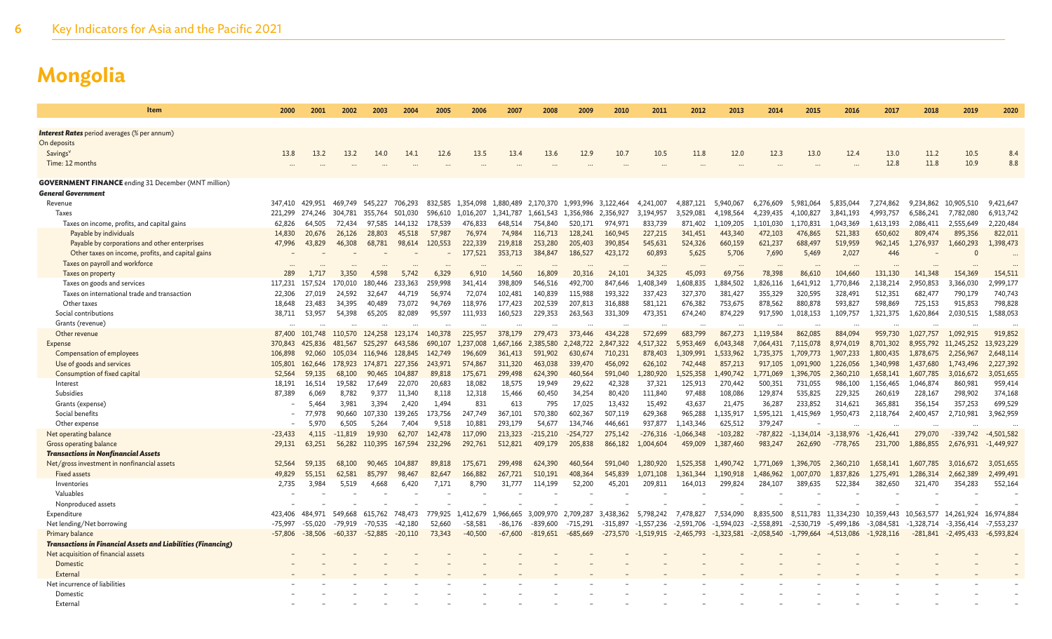| Item                                                                | 2000            | 2001      | 2002      | 2003      | 2004      | 2005    | 2006      | 2007      | 2008       | 2009       | 2010       | 2011         | 2012         | 2013         | 2014         | 2015         | 2016         | 2017         | 2018       | 2019         | 2020         |
|---------------------------------------------------------------------|-----------------|-----------|-----------|-----------|-----------|---------|-----------|-----------|------------|------------|------------|--------------|--------------|--------------|--------------|--------------|--------------|--------------|------------|--------------|--------------|
| <b>Interest Rates</b> period averages (% per annum)                 |                 |           |           |           |           |         |           |           |            |            |            |              |              |              |              |              |              |              |            |              |              |
| On deposits                                                         |                 |           |           |           |           |         |           |           |            |            |            |              |              |              |              |              |              |              |            |              |              |
| Savings <sup>v</sup>                                                | 13.8            | 13.2      | 13.2      | 14.0      | 14.1      | 12.6    | 13.5      | 13.4      | 13.6       | 12.9       | 10.7       | 10.5         | 11.8         | 12.0         | 12.3         | 13.0         | 12.4         | 13.0         | 11.2       | 10.5         | 8.4          |
| Time: 12 months                                                     |                 |           |           |           |           |         |           |           |            |            |            |              |              |              |              |              |              | 12.8         | 11.8       | 10.9         | 8.8          |
|                                                                     |                 |           |           |           |           |         |           |           |            |            |            |              |              |              |              |              |              |              |            |              |              |
| <b>GOVERNMENT FINANCE</b> ending 31 December (MNT million)          |                 |           |           |           |           |         |           |           |            |            |            |              |              |              |              |              |              |              |            |              |              |
| General Government                                                  |                 |           |           |           |           |         |           |           |            |            |            |              |              |              |              |              |              |              |            |              |              |
| Revenue                                                             | 347.410         | 429.951   | 469.749   | 545.227   | 706.293   | 832.585 | 1.354,098 | 1,880,489 | 2.170.370  | 1.993.996  | 3.122.464  | 4.241.007    | 4.887.121    | 5.940.067    | 6,276,609    | 5,981,064    | 5.835.044    | 7,274,862    | 9.234.862  | 10,905,510   | 9,421,647    |
| <b>Taxes</b>                                                        | 221,299         | 274,246   | 304,781   | 355,764   | 501,030   | 596,610 | 1,016,207 | 1,341,787 | 1,661,543  | 1,356,986  | 2,356,927  | 3,194,957    | 3,529,081    | 4,198,564    | 4,239,435    | 4,100,827    | 3,841,193    | 4,993,757    | 6,586,241  | 7,782,080    | 6,913,742    |
| Taxes on income, profits, and capital gains                         | 62,826          | 64,505    | 72,434    | 97,585    | 144,132   | 178,539 | 476,833   | 648.514   | 754,840    | 520,171    | 974,971    | 833,739      | 871,402      | 1,109,205    | 1,101,030    | 1,170,831    | 1,043,369    | 1,613,193    | 2,086,411  | 2,555,649    | 2,220,484    |
| Payable by individuals                                              | 14,830          | 20,676    | 26,126    | 28,803    | 45,518    | 57,987  | 76,974    | 74,984    | 116,713    | 128,241    | 160,945    | 227,215      | 341,451      | 443,340      | 472,103      | 476,865      | 521,383      | 650,602      | 809,474    | 895,356      | 822,011      |
| Payable by corporations and other enterprises                       | 47,996          | 43,829    | 46,308    | 68,781    | 98,614    | 120,553 | 222,339   | 219,818   | 253,280    | 205,403    | 390,854    | 545,631      | 524,326      | 660,159      | 621,237      | 688,497      | 519,959      | 962,145      | 1,276,937  | 1,660,293    | 1,398,473    |
| Other taxes on income, profits, and capital gains                   |                 |           |           |           |           |         | 177,521   | 353,713   | 384,847    | 186,527    | 423,172    | 60,893       | 5,625        | 5,706        | 7,690        | 5,469        | 2,027        | 446          |            |              |              |
| Taxes on payroll and workforce                                      |                 |           |           |           |           |         |           |           |            |            |            |              |              |              |              |              |              |              |            |              |              |
| Taxes on property                                                   | 289             | 1.717     | 3.350     | 4.598     | 5.742     | 6,329   | 6,910     | 14,560    | 16,809     | 20,316     | 24,101     | 34,325       | 45,093       | 69.756       | 78,398       | 86,610       | 104,660      | 131,130      | 141,348    | 154,369      | 154,511      |
| Taxes on goods and services                                         | 117,231         | 157,524   | 170,010   | 180,446   | 233.363   | 259,998 | 341,414   | 398,809   | 546,516    | 492,700    | 847,646    | L,408,349    | L,608,835    | ,884,502     | ,826,116     | 1,641,912    | ,770,846     | 2,138,214    | 2,950,853  | 3,366,030    | 2,999,177    |
| Taxes on international trade and transaction                        | 22,306          | 27,019    | 24.592    | 32,647    | 44.719    | 56,974  | 72,074    | 102,481   | 140,839    | 115,988    | 193,322    | 337,423      | 327,370      | 381,427      | 355,329      | 320,595      | 328,491      | 512,351      | 682,477    | 790,179      | 740,743      |
| Other taxes                                                         | 18,648          | 23,483    | 34.395    | 40,489    | 73,072    | 94.769  | 118,976   | 177.423   | 202,539    | 207,813    | 316,888    | 581,121      | 676,382      | 753,675      | 878,562      | 880,878      | 593,827      | 598,869      | 725,153    | 915,853      | 798,828      |
| Social contributions                                                | 38,711          | 53,957    | 54,398    | 65,205    | 82,089    | 95,597  | 111,933   | 160,523   | 229,353    | 263,563    | 331,309    | 473,351      | 674,240      | 874,229      | 917,590      | 1,018,153    | 1,109,757    | 1,321,375    | 1,620,864  | 2,030,515    | 1,588,053    |
| Grants (revenue)                                                    | $\ddotsc$       |           |           |           |           |         |           |           |            |            |            |              |              |              |              |              |              |              |            |              |              |
| Other revenue                                                       | 87,400          | 101,748   | 110,570   | 124,258   | 123,174   | 140,378 | 225,957   | 378,179   | 279,473    | 373,446    | 434,228    | 572.699      | 683,799      | 867,273      | 1.119.584    | 862,085      | 884.094      | 959,730      | 1.027.757  | 1,092,915    | 919,852      |
| <b>Expense</b>                                                      | 370,843         | 425,836   | 481,567   | 525,297   | 643,586   | 690,107 | 1,237,008 | 1,667,166 | 2,385,580  | 2,248,722  | 2,847,322  | 4.517,322    | 5,953,469    | 6,043,348    | 7,064,431    | 7,115,078    | 8,974,019    | 8,701,302    | 8,955,792  | 11,245,252   | 13,923,229   |
| Compensation of employees                                           | 106,898         | 92,060    | 105,034   | 116,946   | 128.845   | 142,749 | 196,609   | 361,413   | 591,902    | 630,674    | 710,231    | 878,403      | 1.309.991    | 1.533.962    | 1.735.375    | 1,709,773    | 1,907,233    | 1,800,435    | 1,878,675  | 2,256,967    | 2,648,114    |
| Use of goods and services                                           | 105,801 162,646 |           | 178,923   | 174,871   | 227,356   | 243,971 | 574,867   | 311,320   | 463,038    | 339,470    | 456,092    | 626,102      | 742,448      | 857,213      | 917,105      | 1,091,900    | 1,226,056    | 1,340,998    | 1,437,680  | 1,743,496    | 2,227,392    |
| Consumption of fixed capital                                        | 52,564          | 59,135    | 68,100    | 90,465    | 104,887   | 89,818  | 175,671   | 299,498   | 624,390    | 460,564    | 591,040    | 1,280,920    | L,525,358    | .490.742     | L,771,069    | 1,396,705    | 2,360,210    | 1,658,141    | 1,607,785  | 3,016,672    | 3,051,655    |
| Interest                                                            | 18.191          | 16.514    | 19.582    | 17.649    | 22,070    | 20.683  | 18,082    | 18.575    | 19,949     | 29,622     | 42,328     | 37.321       | 125,913      | 270,442      | 500.351      | 731,055      | 986,100      | 1,156,465    | 1.046.874  | 860,981      | 959,414      |
| Subsidies                                                           | 87,389          | 6.069     | 8.782     | 9,377     | 11.340    | 8,118   | 12,318    | 15,466    | 60,450     | 34,254     | 80,420     | 111,840      | 97,488       | 108,086      | 129,874      | 535,825      | 229,325      | 260,619      | 228,167    | 298,902      | 374,168      |
| Grants (expense)                                                    |                 | 5.464     | 3.981     | 3,394     | 2,420     | 1.494   | 831       | 613       | 795        | 17,025     | 13,432     | 15,492       | 43,637       | 21,475       | 36,287       | 233,852      | 314,621      | 365,881      | 356,154    | 357,253      | 699,529      |
| Social benefits                                                     |                 | 77.978    | 90.660    | 107,330   | 139,265   | 173.756 | 247.749   | 367,101   | 570,380    | 602.367    | 507.119    | 629.368      | 965,288      | 1,135,917    | 1.595.121    | 1,415,969    | 1,950,473    | 2,118,764    | 2,400,457  | 2,710,981    | 3,962,959    |
| Other expense                                                       |                 | 5,970     | 6.505     | 5,264     | 7,404     | 9.518   | 10.881    | 293,179   | 54,677     | 134,746    | 446.661    | 937,877      | 1.143.346    | 625,512      | 379,247      |              |              |              |            |              |              |
| Net operating balance                                               | $-23,433$       | 4,115     | $-11.819$ | 19,930    | 62,707    | 142,478 | 117,090   | 213,323   | $-215,210$ | $-254,727$ | 275,142    | $-276,316$   | $-1,066,348$ | $-103,282$   | $-787,822$   | $-1,134,014$ | $-3.138.976$ | $-1,426,441$ | 279,070    | $-339,742$   | $-4,501,582$ |
| Gross operating balance                                             | 29,131          | 63,251    | 56,282    | 110,395   | 167,594   | 232,296 | 292,761   | 512,821   | 409,179    | 205,838    | 866,182    | 1.004.604    | 459,009      | 1.387,460    | 983.247      | 262,690      | $-778.765$   | 231,700      | 1,886,855  | 2,676,931    | $-1,449,927$ |
| <b>Transactions in Nonfinancial Assets</b>                          |                 |           |           |           |           |         |           |           |            |            |            |              |              |              |              |              |              |              |            |              |              |
| Net/gross investment in nonfinancial assets                         | 52,564          | 59,135    | 68,100    | 90,465    | 104,887   | 89,818  | 175,671   | 299,498   | 624,390    | 460,564    | 591,040    | 1.280,920    | 1.525.358    | 1,490,742    | 1,771,069    | 1,396,705    | 2,360,210    | 1,658,141    | 1,607,785  | 3,016,672    | 3,051,655    |
| <b>Fixed assets</b>                                                 | 49,829          | 55,151    | 62,581    | 85,797    | 98.467    | 82,647  | 166,882   | 267,721   | 510,191    | 408,364    | 545,839    | 1,071,108    | 1,361,344    | 1,190,918    | ,486,962     | 1,007,070    | 1,837,826    | 1,275,491    | 1,286,314  | 2,662,389    | 2,499,491    |
| Inventories<br>Valuables                                            | 2,735           | 3.984     | 5.519     | 4.668     | 6.420     | 7.171   | 8.790     | 31,777    | 114,199    | 52,200     | 45,201     | 209.811      | 164,013      | 299,824      | 284,107      | 389.635      | 522,384      | 382,650      | 321,470    | 354,283      | 552,164      |
|                                                                     |                 |           |           |           |           |         |           |           |            |            |            |              |              |              |              |              |              |              |            |              |              |
| Nonproduced assets<br>Expenditure                                   | 423,406         | 484,971   | 549.668   | 615.762   | 748,473   | 779.925 | 1.412.679 | 1,966,665 | 3.009.970  | 2.709.287  | 3.438.362  | 5,798,242    | 7,478,827    | 7.534.090    | 8.835.500    | 8.511.783    | 11.334.230   | 10.359.443   | 10.563.577 | 14.261.924   | 16,974,884   |
| Net lending/Net borrowing                                           | $-75,997$       | $-55,020$ | -79.919   | $-70.535$ | -42.180   | 52,660  | $-58,581$ | -86.176   | -839,600   | $-715,291$ | $-315,897$ | $-1.557.236$ | $-2,591,706$ | $-1,594,023$ | $-2,558,891$ | $-2,530,719$ | -5,499,186   | $-3,084,581$ | -1.328.714 | $-3,356,414$ | $-7,553,237$ |
| Primary balance                                                     | $-57,806$       | $-38,506$ | $-60,337$ | $-52,885$ | $-20,110$ | 73,343  | $-40,500$ |           | -819,651   |            |            | $-1,519,915$ |              | $-1,323,581$ | $-2,058,540$ | $-1,799,664$ | -4,513,086   |              | -281,841   |              | $-6,593,824$ |
| <b>Transactions in Financial Assets and Liabilities (Financing)</b> |                 |           |           |           |           |         |           | -67,600   |            | $-685,669$ | $-273,570$ |              | $-2,465,793$ |              |              |              |              | $-1,928,116$ |            | $-2,495,433$ |              |
| Net acquisition of financial assets                                 |                 |           |           |           |           |         |           |           |            |            |            |              |              |              |              |              |              |              |            |              |              |
| Domestic                                                            |                 |           |           |           |           |         |           |           |            |            |            |              |              |              |              |              |              |              |            |              |              |
| External                                                            |                 |           |           |           |           |         |           |           |            |            |            |              |              |              |              |              |              |              |            |              |              |
| Net incurrence of liabilities                                       |                 |           |           |           |           |         |           |           |            |            |            |              |              |              |              |              |              |              |            |              |              |
| Domestic                                                            |                 |           |           |           |           |         |           |           |            |            |            |              |              |              |              |              |              |              |            |              |              |
| External                                                            |                 |           |           |           |           |         |           |           |            |            |            |              |              |              |              |              |              |              |            |              |              |
|                                                                     |                 |           |           |           |           |         |           |           |            |            |            |              |              |              |              |              |              |              |            |              |              |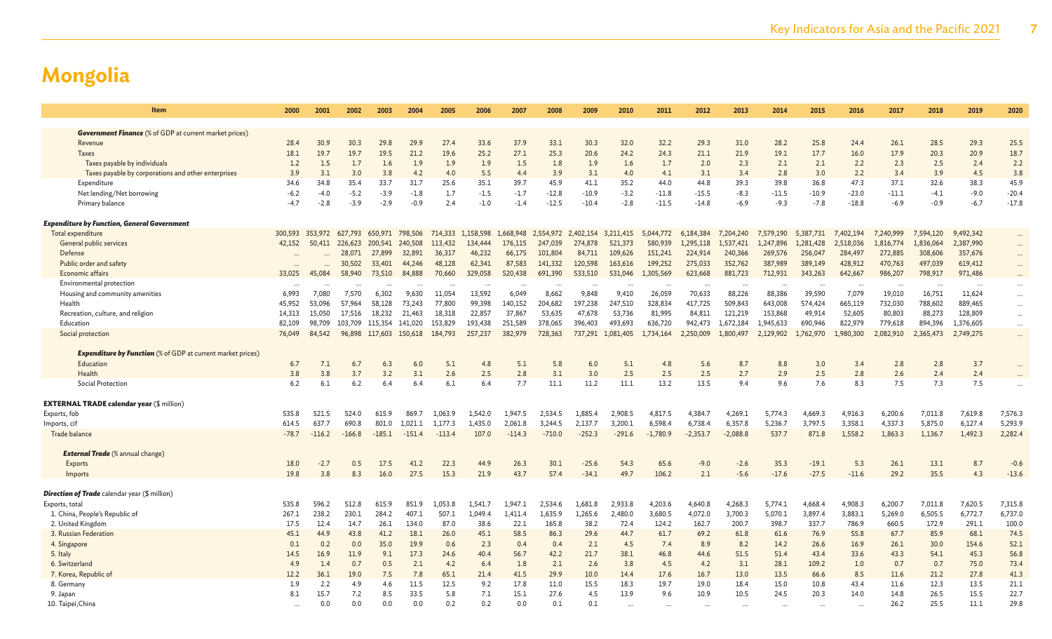| <b>Item</b>                                                        | 2000           | 2001            | 2002           | 2003            | 2004           | 2005     | 2006           | 2007           | 2008            | 2009            | 2010           | 2011            | 2012            | 2013           | 2014            | 2015            | 2016            | 2017            | 2018      | 2019           | 2020     |
|--------------------------------------------------------------------|----------------|-----------------|----------------|-----------------|----------------|----------|----------------|----------------|-----------------|-----------------|----------------|-----------------|-----------------|----------------|-----------------|-----------------|-----------------|-----------------|-----------|----------------|----------|
| <b>Government Finance</b> (% of GDP at current market prices)      |                |                 |                |                 |                |          |                |                |                 |                 |                |                 |                 |                |                 |                 |                 |                 |           |                |          |
| Revenue                                                            | 28.4           | 30.9            | 30.3           | 29.8            | 29.9           | 27.4     | 33.6           | 37.9           | 33.1            | 30.3            | 32.0           | 32.2            | 29.3            | 31.0           | 28.2            | 25.8            | 24.4            | 26.1            | 28.5      | 29.3           | 25.5     |
| <b>Taxes</b>                                                       | 18.1           | 19.7            | 19.7           | 19.5            | 21.2           | 19.6     | 25.2           | 27.1           | 25.3            | 20.6            | 24.2           | 24.3            | 21.1            | 21.9           | 19.1            | 17.7            | 16.0            | 17.9            | 20.3      | 20.9           | 18.7     |
| Taxes payable by individuals                                       | 1.2            | 1.5             | 1.7            | 1.6             | 1.9            | 1.9      | 1.9            | 1.5            | 1.8             | 1.9             | 1.6            | 1.7             | 2.0             | 2.3            | 2.1             | 2.1             | 2.2             | 2.3             | 2.5       | 2.4            | 2.2      |
|                                                                    | 3.9            | 3.1             | 3.0            | 3.8             | 4.2            | 4.0      | 5.5            | 4.4            | 3.9             | 3.1             | 4.0            | 4.1             | 3.1             | 3.4            | 2.8             | 3.0             | 2.2             | 3.4             | 3.9       | 4.5            | 3.8      |
| Taxes payable by corporations and other enterprises                |                |                 |                |                 |                |          |                |                |                 |                 |                |                 |                 |                |                 |                 |                 |                 |           |                |          |
| Expenditure                                                        | 34.6<br>$-6.2$ | 34.8            | 35.4<br>$-5.2$ | 33.7<br>$-3.9$  | 31.7<br>$-1.8$ | 25.6     | 35.1<br>$-1.5$ | 39.7<br>$-1.7$ | 45.9<br>$-12.8$ | 41.1<br>$-10.9$ | 35.2<br>$-3.2$ | 44.0<br>$-11.8$ | 44.8<br>$-15.5$ | 39.3<br>$-8.3$ | 39.8<br>$-11.5$ | 36.8<br>$-10.9$ | 47.3<br>$-23.0$ | 37.1<br>$-11.1$ | 32.6      | 38.3<br>$-9.0$ | 45.9     |
| Net lending/Net borrowing                                          |                | $-4.0$          |                |                 |                | 1.7      |                |                |                 |                 |                |                 |                 |                |                 |                 |                 |                 | $-4.1$    |                | $-20.4$  |
| Primary balance                                                    | $-4.7$         | $-2.8$          | $-3.9$         | $-2.9$          | $-0.9$         | 2.4      | $-1.0$         | $-1.4$         | $-12.5$         | $-10.4$         | $-2.8$         | $-11.5$         | $-14.8$         | $-6.9$         | $-9.3$          | $-7.8$          | $-18.8$         | $-6.9$          | $-0.9$    | $-6.7$         | $-17.8$  |
| <b>Expenditure by Function, General Government</b>                 |                |                 |                |                 |                |          |                |                |                 |                 |                |                 |                 |                |                 |                 |                 |                 |           |                |          |
| Total expenditure                                                  |                | 300,593 353,972 | 627,793        | 650,971 798,506 |                | 714,333  | 1,158,598      | 1,668,948      | 2,554,972       | 2,402,154       | 3,211,415      | 5,044,772       | 6,184,384       | 7.204.240      | 7,579,190       | 5,387,731       | 7,402,194       | 7,240,999       | 7,594,120 | 9,492,342      | $\cdots$ |
| General public services                                            | 42,152         | 50,411          | 226,623        | 200,541         | 240,508        | 113,432  | 134,444        | 176,115        | 247,039         | 274,878         | 521,373        | 580,939         | 1,295,118       | 1,537,421      | 1,247,896       | 1,281,428       | 2,518,036       | 1,816,774       | 1,836,064 | 2,387,990      | $\cdots$ |
| Defense                                                            |                |                 | 28,071         | 27,899          | 32,891         | 36,317   | 46,232         | 66,175         | 101,804         | 84,711          | 109,626        | 151,241         | 224,914         | 240,366        | 269,576         | 256,047         | 284,497         | 272,885         | 308,606   | 357,676        | $\cdots$ |
| Public order and safety                                            |                |                 | 30,502         | 33,401          | 44,246         | 48,128   | 62,341         | 87,583         | 141,332         | 120,598         | 163,616        | 199,252         | 275,033         | 352,762        | 387,989         | 389,149         | 428,912         | 470,763         | 497,039   | 619,412        |          |
| <b>Economic affairs</b>                                            | 33,025         | 45,084          | 58,940         | 73,510          | 84,888         | 70,660   | 329,058        | 520,438        | 691,390         | 533,510         | 531,046        | 1,305,569       | 623,668         | 881,723        | 712,931         | 343,263         | 642,667         | 986,207         | 798,917   | 971,486        |          |
| Environmental protection                                           |                |                 |                |                 |                |          |                |                |                 |                 |                |                 | $\cdots$        |                |                 |                 |                 |                 |           |                | $\cdots$ |
| Housing and community amenities                                    | 6.993          | 7.080           | 7.570          | 6.302           | 9,630          | 11,054   | 13,592         | 6.049          | 8.662           | 9,848           | 9,410          | 26,059          | 70,633          | 88,226         | 88,386          | 39,590          | 7,079           | 19,010          | 16,751    | 11,624         | $\cdots$ |
| Health                                                             | 45,952         | 53.096          | 57,964         | 58,128          | 73.243         | 77,800   | 99,398         | 140,152        | 204.682         | 197,238         | 247,510        | 328,834         | 417,725         | 509,843        | 643,008         | 574,424         | 665,119         | 732,030         | 788,602   | 889,465        |          |
| Recreation, culture, and religion                                  | 14,313         | 15,050          | 17,516         | 18,232          | 21,463         | 18,318   | 22,857         | 37,867         | 53,635          | 47,678          | 53,736         | 81,995          | 84,811          | 121,219        | 153,868         | 49,914          | 52,605          | 80,803          | 88,273    | 128,809        | $\cdots$ |
| Education                                                          | 82,109         | 98,709          | 103,709        | 115,354         | 141,020        | 153,829  | 193,438        | 251,589        | 378,065         | 396,403         | 493,693        | 636,720         | 942,473         | 1,672,184      | 1,945,633       | 690,946         | 822,979         | 779,618         | 894,396   | 1,376,605      | $\cdots$ |
| Social protection                                                  | 76,049         | 84,542          | 96,898         | 117,603         | 150,618        | 184,793  | 257,237        | 382,979        | 728,363         | 737,291         | 1,081,405      | 1,734,164       | 2,250,009       | 1,800,497      | 2,129,902       | 1,762,970       | 1,980,300       | 2,082,910       | 2,365,473 | 2,749,275      |          |
|                                                                    |                |                 |                |                 |                |          |                |                |                 |                 |                |                 |                 |                |                 |                 |                 |                 |           |                |          |
| <b>Expenditure by Function</b> (% of GDP at current market prices) |                |                 |                |                 |                |          |                |                |                 |                 |                |                 |                 |                |                 |                 |                 |                 |           |                |          |
| Education                                                          | 6.7            | 7.1             | 6.7            | 6.3             | 6.0            | 5.1      | 4.8            | 5.1            | 5.8             | 6.0             | 5.1            | 4.8             | 5.6             | 8.7            | 8.8             | 3.0             | 3.4             | 2.8             | 2.8       | 3.7            |          |
| Health                                                             | 3.8            | 3.8             | 3.7            | 3.2             | 3.1            | 2.6      | 2.5            | 2.8            | 3.1             | 3.0             | 2.5            | 2.5             | 2.5             | 2.7            | 2.9             | 2.5             | 2.8             | 2.6             | 2.4       | 2.4            |          |
| Social Protection                                                  | 6.2            | 6.1             | 6.2            | 6.4             | 6.4            | 6.1      | 6.4            | 7.7            | 11.1            | 11.2            | 11.1           | 13.2            | 13.5            | 9.4            | 9.6             | 7.6             | 8.3             | 7.5             | 7.3       | 7.5            |          |
|                                                                    |                |                 |                |                 |                |          |                |                |                 |                 |                |                 |                 |                |                 |                 |                 |                 |           |                |          |
| <b>EXTERNAL TRADE calendar year (\$ million)</b>                   |                |                 |                |                 |                |          |                |                |                 |                 |                |                 |                 |                |                 |                 |                 |                 |           |                |          |
| Exports, fob                                                       | 535.8          | 521.5           | 524.0          | 615.9           | 869.7          | 1.063.9  | 1.542.0        | 1,947.5        | 2,534.5         | 1.885.4         | 2,908.5        | 4,817.5         | 4,384.7         | 4,269.1        | 5,774.3         | 4,669.3         | 4,916.3         | 6,200.6         | 7,011.8   | 7,619.8        | 7,576.3  |
| Imports, cif                                                       | 614.5          | 637.7           | 690.8          | 801.0           | 1.021.1        | 1,177.3  | 1,435.0        | 2.061.8        | 3,244.5         | 2,137.7         | 3,200.1        | 6,598.4         | 6,738.4         | 6,357.8        | 5,236.7         | 3,797.5         | 3,358.1         | 4,337.3         | 5,875.0   | 6,127.4        | 5,293.9  |
| Trade balance                                                      | $-78.7$        | $-116.2$        | $-166.8$       | $-185.1$        | $-151.4$       | $-113.4$ | 107.0          | $-114.3$       | $-710.0$        | $-252.3$        | $-291.6$       | $-1.780.9$      | $-2.353.7$      | $-2,088.8$     | 537.7           | 871.8           | 1,558.2         | 1,863.3         | 1,136.7   | 1,492.3        | 2,282.4  |
|                                                                    |                |                 |                |                 |                |          |                |                |                 |                 |                |                 |                 |                |                 |                 |                 |                 |           |                |          |
| <b>External Trade</b> (% annual change)                            |                |                 |                |                 |                |          |                |                |                 |                 |                |                 |                 |                |                 |                 |                 |                 |           |                |          |
| Exports                                                            | 18.0           | $-2.7$          | 0.5            | 17.5            | 41.2           | 22.3     | 44.9           | 26.3           | 30.1            | $-25.6$         | 54.3           | 65.6            | $-9.0$          | $-2.6$         | 35.3            | $-19.1$         | 5.3             | 26.1            | 13.1      | 8.7            | $-0.6$   |
| Imports                                                            | 19.8           | 3.8             | 8.3            | 16.0            | 27.5           | 15.3     | 21.9           | 43.7           | 57.4            | $-34.1$         | 49.7           | 106.2           | 2.1             | $-5.6$         | $-17.6$         | $-27.5$         | $-11.6$         | 29.2            | 35.5      | 4.3            | $-13.6$  |
|                                                                    |                |                 |                |                 |                |          |                |                |                 |                 |                |                 |                 |                |                 |                 |                 |                 |           |                |          |
| <b>Direction of Trade</b> calendar year (\$ million)               |                |                 |                |                 |                |          |                |                |                 |                 |                |                 |                 |                |                 |                 |                 |                 |           |                |          |
| Exports, total                                                     | 535.8          | 596.2           | 512.8          | 615.9           | 851.9          | 1.053.8  | 1.541.7        | 1.947.1        | 2.534.6         | 1,681.8         | 2,933.8        | 4.203.6         | 4,640.8         | 4.268.3        | 5,774.1         | 4,668.4         | 4,908.3         | 6,200.7         | 7,011.8   | 7,620.5        | 7,315.8  |
| 1. China, People's Republic of                                     | 267.1          | 238.2           | 230.1          | 284.2           | 407.1          | 507.1    | 1,049.4        | 1,411.4        | 1,635.9         | 1,265.6         | 2,480.0        | 3,680.5         | 4,072.0         | 3,700.3        | 5,070.1         | 3,897.4         | 3,883.1         | 5,269.0         | 6,505.5   | 6,772.7        | 6,737.0  |
| 2. United Kingdom                                                  | 17.5           | 12.4            | 14.7           | 26.1            | 134.0          | 87.0     | 38.6           | 22.1           | 165.8           | 38.2            | 72.4           | 124.2           | 162.7           | 200.7          | 398.7           | 337.7           | 786.9           | 660.5           | 172.9     | 291.1          | 100.0    |
| 3. Russian Federation                                              | 45.1           | 44.9            | 43.8           | 41.2            | 18.1           | 26.0     | 45.1           | 58.5           | 86.3            | 29.6            | 44.7           | 61.7            | 69.2            | 61.8           | 61.6            | 76.9            | 55.8            | 67.7            | 85.9      | 68.1           | 74.5     |
| 4. Singapore                                                       | 0.1            | 0.2             | 0.0            | 35.0            | 19.9           | 0.6      | 2.3            | 0.4            | 0.4             | 2.1             | 4.5            | 7.4             | 8.9             | 8.2            | 14.2            | 26.6            | 16.9            | 26.1            | 30.0      | 154.6          | 52.1     |
| 5. Italy                                                           | 14.5           | 16.9            | 11.9           | 9.1             | 17.3           | 24.6     | 40.4           | 56.7           | 42.2            | 21.7            | 38.1           | 46.8            | 44.6            | 51.5           | 51.4            | 43.4            | 33.6            | 43.3            | 54.1      | 45.3           | 56.8     |
| 6. Switzerland                                                     | 4.9            | 1.4             | 0.7            | 0.5             | 2.1            | 4.2      | 6.4            | 1.8            | 2.1             | 2.6             | 3.8            | 4.5             | 4.2             | 3.1            | 28.1            | 109.2           | 1.0             | 0.7             | 0.7       | 75.0           | 73.4     |
| 7. Korea, Republic of                                              | 12.2           | 36.1            | 19.0           | 7.5             | 7.8            | 65.1     | 21.4           | 41.5           | 29.9            | 10.0            | 14.4           | 17.6            | 16.7            | 13.0           | 13.5            | 66.6            | 8.5             | 11.6            | 21.2      | 27.8           | 41.3     |
| 8. Germany                                                         | 1.9            | 2.2             | 4.9            | 4.6             | 11.5           | 12.5     | 9.2            | 17.8           | 11.0            | 15.5            | 18.3           | 19.7            | 19.0            | 18.4           | 15.0            | 10.8            | 43.4            | 11.6            | 12.3      | 13.5           | 21.1     |
| 9. Japan                                                           | 8.1            | 15.7            | 7.2            | 8.5             | 33.5           | 5.8      | 7.1            | 15.1           | 27.6            | 4.5             | 13.9           | 9.6             | 10.9            | 10.5           | 24.5            | 20.3            | 14.0            | 14.8            | 26.5      | 15.5           | 22.7     |
| 10. Taipei, China                                                  |                | 0.0             | 0.0            | 0.0             | 0.0            | 0.2      | 0.2            | 0.0            | 0.1             | 0.1             |                |                 |                 |                |                 |                 |                 | 26.2            | 25.5      | 11.1           | 29.8     |
|                                                                    |                |                 |                |                 |                |          |                |                |                 |                 |                |                 |                 |                |                 |                 |                 |                 |           |                |          |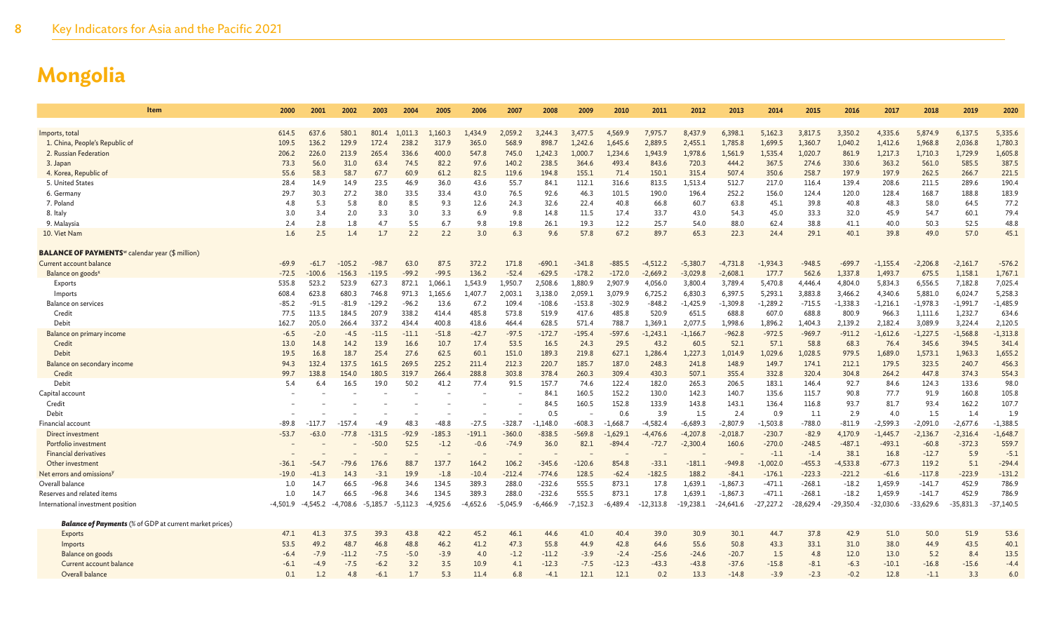| Item                                                                      | 2000       | 2001       | 2002       | 2003            | 2004       | 2005       | 2006       | 2007        | 2008          | 2009          | 2010           | 2011           | 2012           | 2013           | 2014           | 2015           | 2016         | 2017         | 2018          | 2019           | 2020          |
|---------------------------------------------------------------------------|------------|------------|------------|-----------------|------------|------------|------------|-------------|---------------|---------------|----------------|----------------|----------------|----------------|----------------|----------------|--------------|--------------|---------------|----------------|---------------|
|                                                                           |            |            |            |                 |            |            |            |             |               |               |                |                |                |                |                |                |              |              |               |                |               |
| Imports, total                                                            | 614.5      | 637.6      | 580.1      | 801<br>$\Delta$ | 1.011.3    | 1.160.3    | 1.434.9    | 2.059.2     | 3,244.3       | 3.477.5       | 4.569.9        | 7.975.7        | 8,437.9        | 6.398.1        | 5.162.3        | 3.817.5        | 3,350.2      | 4,335.6      | 5,874.9       | 6,137.5        | 5,335.6       |
| 1. China, People's Republic of                                            | 109.5      | 136.2      | 129.9      | 172.            | 238.2      | 317.9      | 365.0      | 568.9       | 898.          | 1.242.6       | 1,645.6        | 2.889.5        | 2,455.1        | 1,785.8        | 1,699.5        | 1,360.7        | 1,040.2      | 1,412.6      | 1,968.8       | 2,036.8        | 1,780.3       |
| 2. Russian Federation                                                     | 206.2      | 226.0      | 213.9      | 265.4           | 336.6      | 400.0      | 547.8      | 745.0       | 1,242.3       | 1,000.7       | 1,234.6        | 1,943.9        | 1,978.6        | 1,561.9        | 1,535.4        | 1,020.7        | 861.9        | 1,217.3      | 1,710.3       | 1,729.9        | 1,605.8       |
| 3. Japan                                                                  | 73.3       | 56.0       | 31.0       | 63.4            | 74.5       | 82.2       | 97.6       | 140.2       | 238.5         | 364.6         | 493.4          | 843.6          | 720.3          | 444.2          | 367.5          | 274.6          | 330.6        | 363.2        | 561.0         | 585.5          | 387.5         |
| 4. Korea, Republic of                                                     | 55.6       | 58.3       | 58.7       | 67.7            | 60.9       | 61.2       | 82.5       | 119.6       | 194.8         | 155.1         | 71.4           | 150.1          | 315.4          | 507.4          | 350.6          | 258.7          | 197.9        | 197.9        | 262.5         | 266.7          | 221.5         |
| 5. United States                                                          | 28.4       | 14.9       | 14.9       | 23.5            | 46.9       | 36.0       | 43.6       | 55.7        | 84.1          | 112.1         | 316.6          | 813.5          | 1,513.4        | 512.7          | 217.0          | 116.4          | 139.4        | 208.6        | 211.5         | 289.6          | 190.4         |
| 6. Germany                                                                | 29.7       | 30.3       | 27.2       | 38.0            | 33.5       | 33.4       | 43.0       | 76.5        | 92.6          | 46.3          | 101.5          | 190.0          | 196.4          | 252.2          | 156.0          | 124.4          | 120.0        | 128.4        | 168.7         | 188.8          | 183.9         |
| 7. Poland                                                                 | 4.8        | 5.3        | 5.8        | 8.0             | 8.5        | 9.3        | 12.6       | 24.3        | 32.6          | 22.4          | 40.8           | 66.8           | 60.7           | 63.8           | 45.1           | 39.8           | 40.8         | 48.3         | 58.0          | 64.5           | 77.2          |
| 8. Italy                                                                  | 3.0<br>2.4 | 3.4<br>2.8 | 2.0<br>1.8 | 3.3<br>4.7      | 3.0<br>5.5 | 3.3<br>6.7 | 6.9<br>9.8 | 9.8         | 14.8<br>26.1  | 11.5<br>19.3  | 17.4<br>12.2   | 33.7<br>25.7   | 43.0<br>54.0   | 54.3<br>88.0   | 45.0<br>62.4   | 33.3<br>38.8   | 32.0         | 45.9<br>40.0 | 54.7          | 60.1<br>52.5   | 79.4<br>48.8  |
| 9. Malaysia<br>10. Viet Nam                                               | 1.6        | 2.5        | 1.4        | 1.7             | 2.2        | 2.2        | 3.0        | 19.8<br>6.3 | 9.6           | 57.8          | 67.2           | 89.7           | 65.3           | 22.3           | 24.4           | 29.1           | 41.1<br>40.1 | 39.8         | 50.3<br>49.0  | 57.0           | 45.1          |
|                                                                           |            |            |            |                 |            |            |            |             |               |               |                |                |                |                |                |                |              |              |               |                |               |
| <b>BALANCE OF PAYMENTS</b> <sup><i>w</i></sup> calendar year (\$ million) |            |            |            |                 |            |            |            |             |               |               |                |                |                |                |                |                |              |              |               |                |               |
| Current account balance                                                   | $-69.9$    | $-61.7$    | $-105.2$   | $-98.$          | 63.0       | 87.5       | 372.2      | 171.8       | $-690.$       | $-341.8$      | $-885.5$       | $-4,512.2$     | $-5,380.7$     | $-4,731.8$     | $-1,934.3$     | $-948.5$       | $-699.$      | $-1,155.4$   | $-2,206.8$    | $-2,161.7$     | $-576.2$      |
| Balance on goods <sup>x</sup>                                             | $-72.5$    | $-100.6$   | $-156.3$   | $-119.5$        | $-99.2$    | $-99.5$    | 136.2      | $-52.4$     | $-629.5$      | $-178.2$      | $-172.0$       | $-2,669.2$     | $-3,029.8$     | $-2,608.1$     | 177.7          | 562.6          | 1,337.8      | 1,493.7      | 675.5         | 1,158.1        | 1,767.1       |
| Exports                                                                   | 535.8      | 523.2      | 523.9      | 627.3           | 872.1      | 1.066.1    | 1.543.9    | 1,950.7     | 2.508.6       | 1,880.9       | 2,907.9        | 4,056.0        | 3,800.4        | 3,789.4        | 5,470.8        | 4,446.4        | 4,804.0      | 5,834.3      | 6,556.5       | 7,182.8        | 7,025.4       |
| Imports                                                                   | 608.4      | 623.8      | 680.3      | 746.8           | 971.3      | 1.165.6    | 1.407.7    | 2.003.1     | 3,138.0       | 2,059.1       | 3.079.9        | 6,725.2        | 6.830.3        | 6,397.5        | 5,293.1        | 3,883.8        | 3,466.2      | 4,340.6      | 5,881.0       | 6,024.7        | 5,258.3       |
| Balance on services                                                       | $-85.2$    | $-91.5$    | $-81.9$    | $-129.2$        | $-96.2$    | 13.6       | 67.2       | 109.4       | $-108.6$      | $-153.8$      | $-302.9$       | $-848.2$       | $-1,425.9$     | $-1,309.8$     | $-1,289.2$     | $-715.5$       | $-1,338.3$   | $-1,216.1$   | $-1,978.3$    | $-1,991.7$     | $-1,485.9$    |
| Credit                                                                    | 77.5       | 113.5      | 184.5      | 207.9           | 338.2      | 414.4      | 485.8      | 573.8       | 519.9         | 417.6         | 485.8          | 520.9          | 651.5          | 688.8          | 607.0          | 688.8          | 800.9        | 966.3        | 1,111.6       | 1,232.7        | 634.6         |
| Debit                                                                     | 162.7      | 205.0      | 266.4      | 337.2           | 434.4      | 400.8      | 418.6      | 464.4       | 628.5         | 571.4         | 788.7          | 1.369.1        | 2,077.5        | 1.998.6        | 1.896.2        | 1.404.3        | 2,139.2      | 2,182.4      | 3.089.9       | 3,224.4        | 2,120.5       |
| Balance on primary income                                                 | $-6.5$     | $-2.0$     | $-4.5$     | $-11.5$         | $-11.1$    | $-51.8$    | $-42.7$    | $-97.5$     | $-172.7$      | $-195.4$      | $-597.6$       | $-1,243.1$     | $-1,166.7$     | $-962.8$       | $-972.5$       | $-969.7$       | $-911.2$     | $-1,612.6$   | $-1,227.5$    | $-1,568.8$     | $-1,313.8$    |
| Credit                                                                    | 13.0       | 14.8       | 14.2       | 13.9            | 16.6       | 10.7       | 17.4       | 53.5        | 16.5          | 24.3          | 29.5           | 43.2           | 60.5           | 52.1           | 57.1           | 58.8           | 68.3         | 76.4         | 345.6         | 394.5          | 341.4         |
| Debit                                                                     | 19.5       | 16.8       | 18.7       | 25.4            | 27.6       | 62.5       | 60.1       | 151.0       | 189.3         | 219.8         | 627.1          | 1.286.4        | 1,227.3        | 1.014.9        | 1,029.6        | 1.028.5        | 979.5        | 1.689.0      | 1,573.1       | 1,963.3        | 1,655.2       |
| Balance on secondary income                                               | 94.3       | 132.4      | 137.5      | 161.5           | 269.5      | 225.2      | 211.4      | 212.3       | 220.7         | 185.7         | 187.0          | 248.3          | 241.8          | 148.9          | 149.7          | 174.1          | 212.1        | 179.5        | 323.5         | 240.7          | 456.3         |
| Credit                                                                    | 99.7       | 138.8      | 154.0      | 180.5           | 319.7      | 266.4      | 288.8      | 303.8       | 378.4         | 260.3         | 309.4          | 430.3          | 507.1          | 355.4          | 332.8          | 320.4          | 304.8        | 264.2        | 447.8         | 374.3          | 554.3         |
| Debit                                                                     | 5.4        | 6.4        | 16.5       | 19.0            | 50.2       | 41.2       | 77.4       | 91.5        | 157.7<br>84.1 | 74.6<br>160.5 | 122.4<br>152.2 | 182.0<br>130.0 | 265.3<br>142.3 | 206.5<br>140.7 | 183.1<br>135.6 | 146.4<br>115.7 | 92.7<br>90.8 | 84.6<br>77.7 | 124.3<br>91.9 | 133.6<br>160.8 | 98.0<br>105.8 |
| Capital account                                                           |            |            |            |                 |            |            |            |             | 84.5          | 160.5         | 152.8          |                |                |                |                | 116.8          | 93.7         | 81.7         | 93.4          | 162.2          | 107.7         |
| Credit<br>Debit                                                           |            |            |            |                 |            |            |            |             | 0.5           |               | 0.6            | 133.9<br>3.9   | 143.8<br>1.5   | 143.1<br>2.4   | 136.4<br>0.9   | 1.1            | 2.9          | 4.0          | 1.5           | 1.4            | 1.9           |
| Financial account                                                         | $-89.8$    | $-117.7$   | $-157$     | -4.9            | 48.3       | $-48.8$    | $-27.5$    | $-328.7$    | $-1.148.0$    | $-608.3$      | $-1,668.7$     | $-4,582.4$     | $-6,689.3$     | $-2,807.9$     | $-1,503.8$     | $-788.0$       | $-811.9$     | $-2,599.3$   | $-2,091.0$    | $-2,677.6$     | $-1,388.5$    |
| Direct investment                                                         | $-53.7$    | $-63.0$    | $-77.8$    | $-131.5$        | $-92.9$    | $-185.3$   | $-191.1$   | $-360.0$    | $-838.5$      | $-569.8$      | $-1,629.1$     | $-4,476.6$     | $-4,207.8$     | $-2,018.7$     | $-230.7$       | $-82.9$        | 4,170.9      | $-1,445.7$   | $-2,136.7$    | $-2,316.4$     | $-1,648.7$    |
| Portfolio investment                                                      |            |            |            | $-50.0$         | 52.5       | $-1.2$     | $-0.6$     | $-74.9$     | 36.0          | 82.1          | $-894.4$       | $-72.7$        | $-2,300.4$     | 160.6          | $-270.0$       | $-248.5$       | $-487.1$     | $-493.1$     | $-60.8$       | $-372.3$       | 559.7         |
| <b>Financial derivatives</b>                                              |            |            |            |                 |            |            |            |             |               |               |                |                |                |                | $-1.1$         | $-1.4$         | 38.1         | 16.8         | $-12.7$       | 5.9            | $-5.1$        |
| Other investment                                                          | $-36.1$    | $-54.7$    | $-79.6$    | 176.6           | 88.7       | 137.7      | 164.2      | 106.2       | $-345.6$      | $-120.6$      | 854.8          | $-33.1$        | $-181.1$       | $-949.8$       | $-1,002.0$     | $-455.3$       | $-4,533.8$   | $-677.3$     | 119.2         | 5.1            | $-294.4$      |
| Net errors and omissions <sup>y</sup>                                     | $-19.0$    | $-41.3$    | 14.3       | $-3.1$          | 19.9       | $-1.8$     | $-10.4$    | $-212.4$    | $-774.6$      | 128.5         | $-62.4$        | $-182.5$       | 188.2          | $-84.1$        | $-176.1$       | $-223.3$       | $-221.2$     | $-61.6$      | $-117.8$      | $-223.9$       | $-131.2$      |
| Overall balance                                                           | 1.0        | 14.7       | 66.5       | $-96.8$         | 34.6       | 134.5      | 389.3      | 288.0       | $-232.6$      | 555.5         | 873.1          | 17.8           | 1.639.1        | $-1,867.3$     | $-471.1$       | $-268.1$       | $-18.2$      | 1,459.9      | $-141.7$      | 452.9          | 786.9         |
| Reserves and related item:                                                | 1.0        | 14.7       | 66.5       | $-96.8$         | 34.6       | 134.5      | 389.3      | 288.0       | $-232.6$      | 555.5         | 873.1          | 17.8           | 1,639.1        | $-1,867.3$     | $-471.1$       | $-268.1$       | $-18.2$      | 1,459.9      | $-141.7$      | 452.9          | 786.9         |
| International investment position                                         | $-4,501.9$ | $-4,545.2$ | $-4,708.6$ | $-5,185.7$      | $-5,112.3$ | $-4,925.6$ | $-4,652.6$ | $-5,045.9$  | $-6,466.9$    | $-7,152.3$    | $-6,489.4$     | $-12,313.8$    | $-19,238.1$    | $-24,641.6$    | -27,227.2      | $-28,629.4$    | $-29,350.4$  | $-32,030.6$  | $-33,629.6$   | $-35,831.3$    | $-37,140.5$   |
|                                                                           |            |            |            |                 |            |            |            |             |               |               |                |                |                |                |                |                |              |              |               |                |               |
| <b>Balance of Payments</b> (% of GDP at current market prices)            |            |            |            |                 |            |            |            |             |               |               |                |                |                |                |                |                |              |              |               |                |               |
| <b>Exports</b>                                                            | 47.1       | 41.3       | 37.5       | 39.3            | 43.8       | 42.2       | 45.2       | 46.1        | 44.6          | 41.0          | 40.4           | 39.0           | 30.9           | 30.1           | 44.7           | 37.8           | 42.9         | 51.0         | 50.0          | 51.9           | 53.6          |
| Imports                                                                   | 53.5       | 49.2       | 48.7       | 46.8            | 48.8       | 46.2       | 41.2       | 47.3        | 55.8          | 44.9          | 42.8           | 64.6           | 55.6           | 50.8           | 43.3           | 33.1           | 31.0         | 38.0         | 44.9          | 43.5           | 40.1          |
| Balance on goods                                                          | $-6.4$     | $-7.9$     | $-11.2$    | $-7.5$          | $-5.0$     | $-3.9$     | 4.0        | $-1.2$      | $-11.2$       | $-3.9$        | $-2.4$         | $-25.6$        | $-24.6$        | $-20.7$        | 1.5            | 4.8            | 12.0         | 13.0         | 5.2           | 8.4            | 13.5          |
| Current account balance                                                   | $-6.1$     | $-4.9$     | $-7.5$     | -6.2            | 3.2        | 3.5        | 10.9       | 4.1         | $-12.3$       | $-7.5$        | $-12.3$        | $-43.3$        | $-43.8$        | $-37.6$        | $-15.8$        | $-8.1$         | $-6.3$       | $-10.1$      | $-16.8$       | $-15.6$        | $-4.4$        |
| Overall balance                                                           | 0.1        | 1.2        | 4.8        | -6.1            | 1.7        | 5.3        | 11.4       | 6.8         | $-4.1$        | 12.1          | 12.1           | 0.2            | 13.3           | $-14.8$        | $-3.9$         | $-2.3$         | $-0.2$       | 12.8         | $-1.1$        | 3.3            | 6.0           |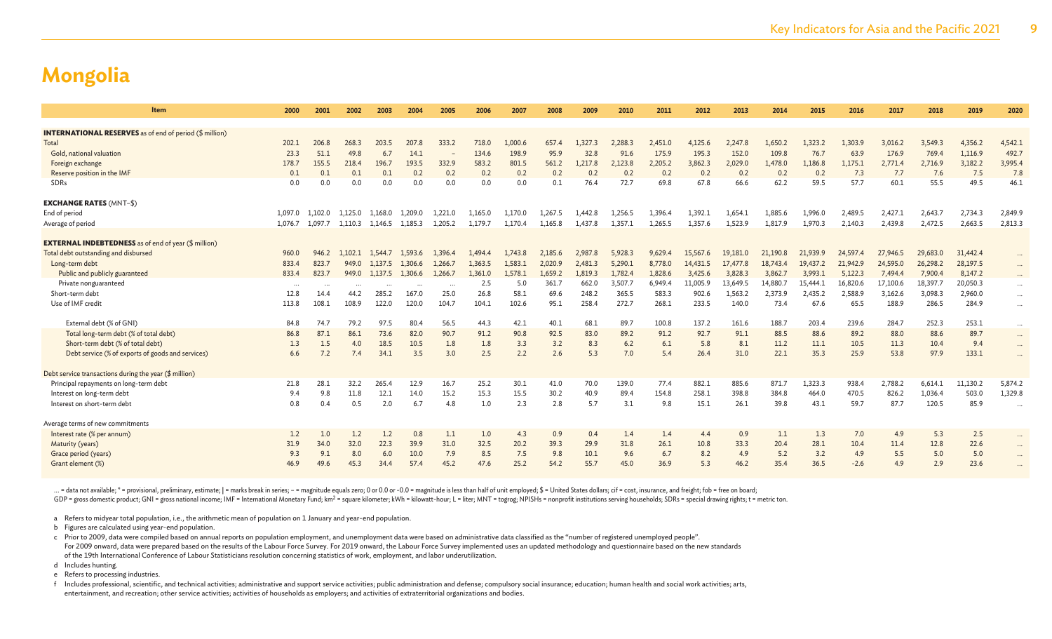| Item                                                           | 2000     | 2001     | 2002    | 2003    | 2004     | 2005     | 2006    | 2007    | 2008    | 2009    | 2010    | 2011    | 2012     | 2013     | 2014     | 2015     | 2016     | 2017     | 2018     | 2019     | 2020      |
|----------------------------------------------------------------|----------|----------|---------|---------|----------|----------|---------|---------|---------|---------|---------|---------|----------|----------|----------|----------|----------|----------|----------|----------|-----------|
| <b>INTERNATIONAL RESERVES</b> as of end of period (\$ million) |          |          |         |         |          |          |         |         |         |         |         |         |          |          |          |          |          |          |          |          |           |
| Total                                                          | 202.1    | 206.8    | 268.3   | 203.5   | 207.8    | 333.2    | 718.0   | 1,000.6 | 657.4   | 1.327.3 | 2,288.3 | 2,451.0 | 4,125.6  | 2,247.8  | 1,650.2  | 1,323.2  | 1,303.9  | 3,016.2  | 3,549.3  | 4,356.2  | 4,542.1   |
| Gold, national valuation                                       | 23.3     | 51.1     | 49.8    | 6.7     | 14.1     |          | 134.6   | 198.9   | 95.9    | 32.8    | 91.6    | 175.9   | 195.3    | 152.0    | 109.8    | 76.7     | 63.9     | 176.9    | 769.4    | 1,116.9  | 492.7     |
| Foreign exchange                                               | 178.7    | 155.5    | 218.4   | 196.7   | 193.5    | 332.9    | 583.2   | 801.5   | 561.2   | 1,217.8 | 2,123.8 | 2,205.2 | 3,862.3  | 2,029.0  | 1,478.0  | 1,186.8  | 1,175.1  | 2,771.4  | 2,716.9  | 3,182.2  | 3,995.4   |
| Reserve position in the IMF                                    | 0.1      | 0.1      | 0.1     | 0.1     | 0.2      | 0.2      | 0.2     | 0.2     | 0.2     | 0.2     | 0.2     | 0.2     | 0.2      | 0.2      | 0.2      | 0.2      | 7.3      | 7.7      | 7.6      | 7.5      | 7.8       |
| SDRs                                                           | 0.0      | 0.0      | 0.0     | 0.0     | 0.0      | 0.0      | 0.0     | 0.0     | 0.1     | 76.4    | 72.7    | 69.8    | 67.8     | 66.6     | 62.2     | 59.5     | 57.7     | 60.1     | 55.5     | 49.5     | 46.1      |
| <b>EXCHANGE RATES (MNT-\$)</b>                                 |          |          |         |         |          |          |         |         |         |         |         |         |          |          |          |          |          |          |          |          |           |
| End of period                                                  | 1.097.0  | 1.102.0  | 1.125.0 | 1.168.0 | 1.209.0  | 1,221.0  | 1.165.0 | 1.170.0 | 1,267.5 | 1.442.8 | 1.256.5 | 1,396.4 | 1,392.1  | 1,654.1  | 1,885.6  | 1,996.0  | 2,489.5  | 2,427.1  | 2,643.7  | 2,734.3  | 2,849.9   |
| Average of period                                              | 1.076.7  | 1.097.7  | 1.110.3 | 1.146.5 | 1.185.3  | 1.205.2  | 1.179.7 | 1.170.4 | 1.165.8 | 1.437.8 | 1,357.1 | 1.265.5 | 1.357.6  | 1,523.9  | 1,817.9  | 1.970.3  | 2,140.3  | 2,439.8  | 2,472.5  | 2,663.5  | 2,813.3   |
| <b>EXTERNAL INDEBTEDNESS</b> as of end of year (\$ million)    |          |          |         |         |          |          |         |         |         |         |         |         |          |          |          |          |          |          |          |          |           |
| Total debt outstanding and disbursed                           | 960.0    | 946.2    | .102.1  | 1.544.7 | 1.593.6  | 1.396.4  | 1.494.4 | 1,743.8 | 2,185.6 | 2,987.8 | 5,928.3 | 9,629.4 | 15.567.6 | 19,181.0 | 21,190.8 | 21,939.9 | 24,597.4 | 27,946.5 | 29,683.0 | 31,442.4 |           |
| Long-term debt                                                 | 833.4    | 823.7    | 949.0   | 1.137.5 | 1.306.6  | 1,266.7  | 1,363.5 | 1.583.1 | 2,020.9 | 2.481.3 | 5,290.1 | 8,778.0 | 14,431.5 | 17,477.8 | 18,743.  | 19,437.2 | 21,942.9 | 24,595.0 | 26,298.2 | 28,197.5 |           |
| Public and publicly guaranteed                                 | 833.4    | 823.7    | 949.0   | 1,137.5 | 1,306.6  | 1,266.7  | 1,361.0 | 1,578.1 | 1,659.2 | 1,819.3 | 1,782.4 | 1,828.6 | 3,425.6  | 3,828.3  | 3,862.7  | 3,993.1  | 5,122.3  | 7,494.4  | 7,900.4  | 8,147.2  | $\cdots$  |
| Private nonguaranteed                                          | $\cdots$ | $\cdots$ |         |         | $\cdots$ | $\cdots$ | 2.5     | 5.0     | 361.7   | 662.0   | 3,507.7 | 6,949.4 | 11,005.9 | 13,649.5 | 14,880.7 | 15,444.1 | 16,820.6 | 17,100.6 | 18,397.7 | 20,050.3 | $\cdots$  |
| Short-term debt                                                | 12.8     | 14.4     | 44.2    | 285.2   | 167.0    | 25.0     | 26.8    | 58.1    | 69.6    | 248.2   | 365.5   | 583.3   | 902.6    | 1,563.2  | 2,373.9  | 2,435.2  | 2,588.9  | 3,162.6  | 3,098.3  | 2,960.0  | $\cdots$  |
| Use of IMF credit                                              | 113.8    | 108.1    | 108.9   | 122.0   | 120.0    | 104.7    | 104.1   | 102.6   | 95.1    | 258.4   | 272.7   | 268.1   | 233.5    | 140.0    | 73.4     | 67.6     | 65.5     | 188.9    | 286.5    | 284.9    | $\cdots$  |
| External debt (% of GNI)                                       | 84.8     | 74.7     | 79.2    | 97.5    | 80.4     | 56.5     | 44.3    | 42.1    | 40.1    | 68.1    | 89.7    | 100.8   | 137.2    | 161.6    | 188.7    | 203.4    | 239.6    | 284.7    | 252.3    | 253.1    | $\cdots$  |
| Total long-term debt (% of total debt)                         | 86.8     | 87.1     | 86.1    | 73.6    | 82.0     | 90.7     | 91.2    | 90.8    | 92.5    | 83.0    | 89.2    | 91.2    | 92.7     | 91.1     | 88.5     | 88.6     | 89.2     | 88.0     | 88.6     | 89.7     | $\cdots$  |
| Short-term debt (% of total debt)                              | 1.3      | 1.5      | 4.0     | 18.5    | 10.5     | 1.8      | 1.8     | 3.3     | 3.2     | 8.3     | 6.2     | 6.1     | 5.8      | 8.1      | 11.2     | 11.1     | 10.5     | 11.3     | 10.4     | 9.4      | $\cdots$  |
| Debt service (% of exports of goods and services)              | 6.6      | 7.2      | 7.4     | 34.1    | 3.5      | 3.0      | 2.5     | 2.2     | 2.6     | 5.3     | 7.0     | 5.4     | 26.4     | 31.0     | 22.1     | 35.3     | 25.9     | 53.8     | 97.9     | 133.1    | $\cdots$  |
| Debt service transactions during the year (\$ million)         |          |          |         |         |          |          |         |         |         |         |         |         |          |          |          |          |          |          |          |          |           |
| Principal repayments on long-term debt                         | 21.8     | 28.1     | 32.2    | 265.4   | 12.9     | 16.7     | 25.2    | 30.1    | 41.0    | 70.0    | 139.0   | 77.4    | 882.1    | 885.6    | 871.7    | 1,323.3  | 938.4    | 2,788.2  | 6,614.1  | 11,130.2 | 5,874.2   |
| Interest on long-term debt                                     | 9.4      | 9.8      | 11.8    | 12.1    | 14.0     | 15.2     | 15.3    | 15.5    | 30.2    | 40.9    | 89.4    | 154.8   | 258.1    | 398.8    | 384.8    | 464.0    | 470.5    | 826.2    | 1,036.4  | 503.0    | 1,329.8   |
| Interest on short-term debt                                    | 0.8      | 0.4      | 0.5     | 2.0     | 6.7      | 4.8      | 1.0     | 2.3     | 2.8     | 5.7     | 3.1     | 9.8     | 15.1     | 26.1     | 39.8     | 43.1     | 59.7     | 87.7     | 120.5    | 85.9     | $\cdots$  |
| Average terms of new commitments                               |          |          |         |         |          |          |         |         |         |         |         |         |          |          |          |          |          |          |          |          |           |
| Interest rate (% per annum)                                    | 1.2      | 1.0      | 1.2     | 1.2     | 0.8      | 1.1      | 1.0     | 4.3     | 0.9     | 0.4     | 1.4     | 1.4     | 4.4      | 0.9      | 1.1      | 1.3      | 7.0      | 4.9      | 5.3      | 2.5      | $\cdots$  |
| Maturity (years)                                               | 31.9     | 34.0     | 32.0    | 22.3    | 39.9     | 31.0     | 32.5    | 20.2    | 39.3    | 29.9    | 31.8    | 26.1    | 10.8     | 33.3     | 20.4     | 28.1     | 10.4     | 11.4     | 12.8     | 22.6     | $\cdots$  |
| Grace period (years)                                           | 9.3      | 9.1      | 8.0     | 6.0     | 10.0     | 7.9      | 8.5     | 7.5     | 9.8     | 10.1    | 9.6     | 6.7     | 8.2      | 4.9      | 5.2      | 3.2      | 4.9      | 5.5      | 5.0      | 5.0      | $\cdots$  |
| Grant element (%)                                              | 46.9     | 49.6     | 45.3    | 34.4    | 57.4     | 45.2     | 47.6    | 25.2    | 54.2    | 55.7    | 45.0    | 36.9    | 5.3      | 46.2     | 35.4     | 36.5     | $-2.6$   | 4.9      | 2.9      | 23.6     | $\ddotsc$ |

... = data not available; \* = provisional, preliminary, estimate; | = marks break in series; - = magnitude equals zero; 0 or 0.0 or -0.0 = magnitude is less than half of unit employed; \$ = United States dollars; cif = cost GDP = gross domestic product; GNI = gross national income; IMF = International Monetary Fund; km<sup>2</sup> = square kilometer; kWh = kilowatt-hour; L = liter; MNT = togrog; NPISHs = nonprofit institutions serving households; SDRs

a Refers to midyear total population, i.e., the arithmetic mean of population on 1 January and year-end population.

b Figures are calculated using year-end population.

c Prior to 2009, data were compiled based on annual reports on population employment, and unemployment data were based on administrative data classified as the "number of registered unemployed people". For 2009 onward, data were prepared based on the results of the Labour Force Survey. For 2019 onward, the Labour Force Survey implemented uses an updated methodology and questionnaire based on the new standards of the 19th International Conference of Labour Statisticians resolution concerning statistics of work, employment, and labor underutilization.

d Includes hunting.

e Refers to processing industries.

f Includes professional, scientific, and technical activities; administrative and support service activities; public administration and defense; compulsory social insurance; education; human health and social work activiti entertainment, and recreation; other service activities; activities of households as employers; and activities of extraterritorial organizations and bodies.